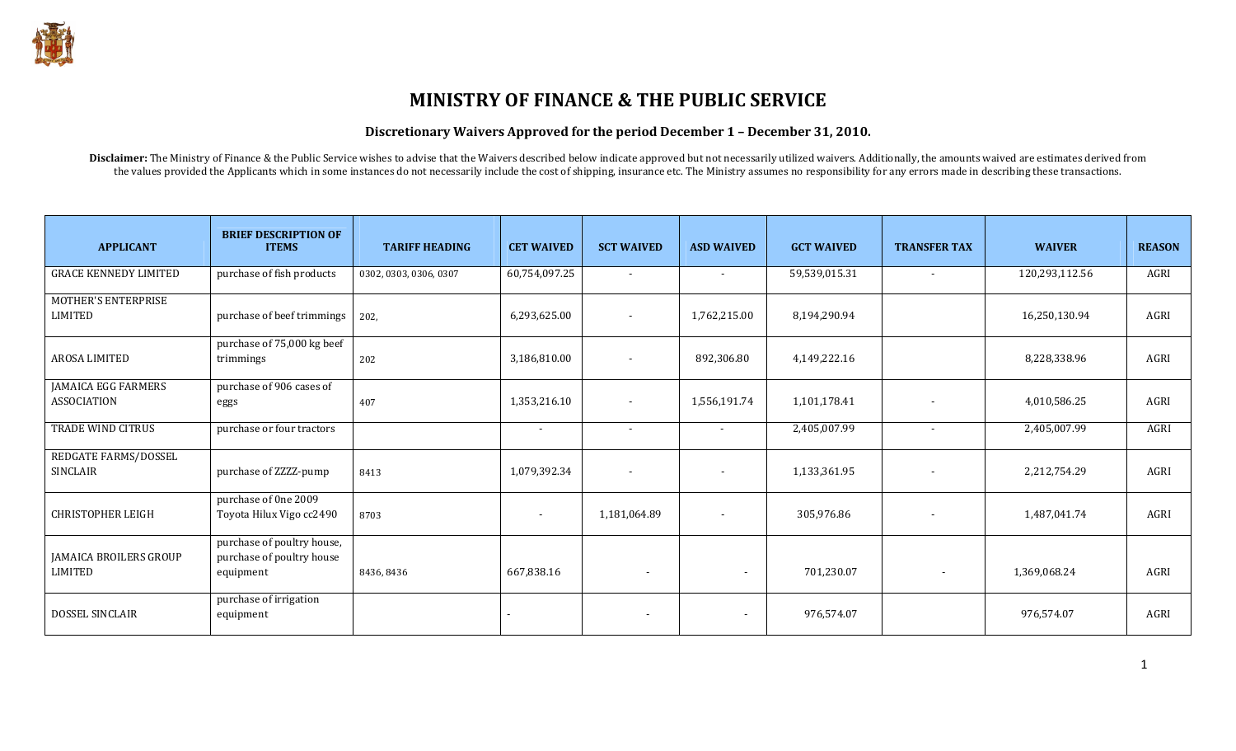

# MINISTRY OF FINANCE & THE PUBLIC SERVICE

#### Discretionary Waivers Approved for the period December 1 – December 31, 2010.

Disclaimer: The Ministry of Finance & the Public Service wishes to advise that the Waivers described below indicate approved but not necessarily utilized waivers. Additionally, the amounts waived are estimates derived from the values provided the Applicants which in some instances do not necessarily include the cost of shipping, insurance etc. The Ministry assumes no responsibility for any errors made in describing these transactions.

| <b>APPLICANT</b>                                 | <b>BRIEF DESCRIPTION OF</b><br><b>ITEMS</b>                          | <b>TARIFF HEADING</b>  | <b>CET WAIVED</b>        | <b>SCT WAIVED</b>        | <b>ASD WAIVED</b>        | <b>GCT WAIVED</b> | <b>TRANSFER TAX</b>      | <b>WAIVER</b>  | <b>REASON</b> |
|--------------------------------------------------|----------------------------------------------------------------------|------------------------|--------------------------|--------------------------|--------------------------|-------------------|--------------------------|----------------|---------------|
| <b>GRACE KENNEDY LIMITED</b>                     | purchase of fish products                                            | 0302, 0303, 0306, 0307 | 60,754,097.25            | $\sim$                   | $\overline{\phantom{a}}$ | 59,539,015.31     | $\sim$                   | 120,293,112.56 | AGRI          |
| MOTHER'S ENTERPRISE<br><b>LIMITED</b>            | purchase of beef trimmings                                           | 202,                   | 6,293,625.00             | $\overline{\phantom{a}}$ | 1,762,215.00             | 8,194,290.94      |                          | 16,250,130.94  | AGRI          |
| AROSA LIMITED                                    | purchase of 75,000 kg beef<br>trimmings                              | 202                    | 3,186,810.00             | $\overline{\phantom{a}}$ | 892,306.80               | 4,149,222.16      |                          | 8,228,338.96   | AGRI          |
| <b>JAMAICA EGG FARMERS</b><br><b>ASSOCIATION</b> | purchase of 906 cases of<br>eggs                                     | 407                    | 1,353,216.10             | $\overline{\phantom{a}}$ | 1,556,191.74             | 1,101,178.41      |                          | 4,010,586.25   | AGRI          |
| TRADE WIND CITRUS                                | purchase or four tractors                                            |                        | $\sim$                   | $\overline{\phantom{a}}$ | $\overline{\phantom{a}}$ | 2,405,007.99      |                          | 2,405,007.99   | AGRI          |
| REDGATE FARMS/DOSSEL<br>SINCLAIR                 | purchase of ZZZZ-pump                                                | 8413                   | 1,079,392.34             | $\overline{\phantom{a}}$ | $\overline{\phantom{a}}$ | 1,133,361.95      |                          | 2,212,754.29   | AGRI          |
| <b>CHRISTOPHER LEIGH</b>                         | purchase of 0ne 2009<br>Toyota Hilux Vigo cc2490                     | 8703                   | $\overline{\phantom{a}}$ | 1,181,064.89             | $\overline{\phantom{a}}$ | 305,976.86        |                          | 1,487,041.74   | AGRI          |
| <b>JAMAICA BROILERS GROUP</b><br><b>LIMITED</b>  | purchase of poultry house,<br>purchase of poultry house<br>equipment | 8436, 8436             | 667,838.16               | $\overline{\phantom{a}}$ | $\blacksquare$           | 701,230.07        | $\overline{\phantom{a}}$ | 1,369,068.24   | AGRI          |
| DOSSEL SINCLAIR                                  | purchase of irrigation<br>equipment                                  |                        |                          |                          | $\overline{\phantom{a}}$ | 976,574.07        |                          | 976,574.07     | AGRI          |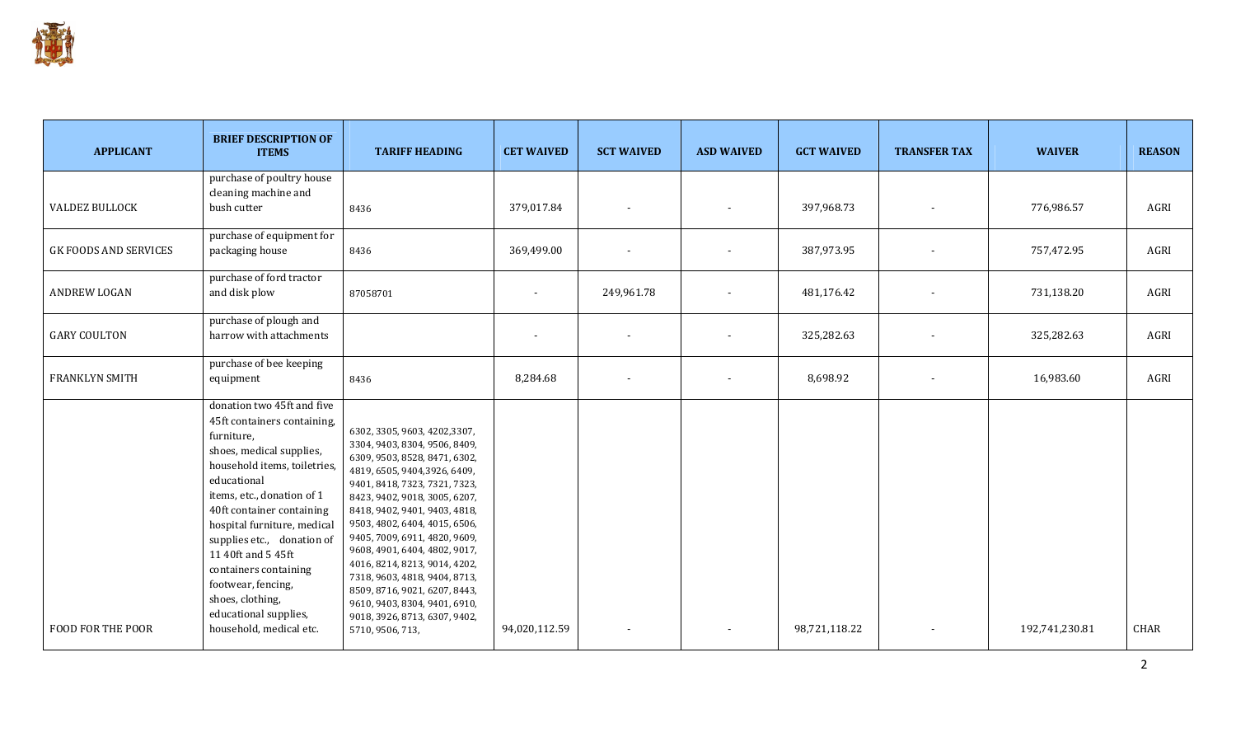

| <b>APPLICANT</b>             | <b>BRIEF DESCRIPTION OF</b><br><b>ITEMS</b>                                                                                                                                                                                                                                                                                                                                                                             | <b>TARIFF HEADING</b>                                                                                                                                                                                                                                                                                                                                                                                                                                                                                                           | <b>CET WAIVED</b> | <b>SCT WAIVED</b> | <b>ASD WAIVED</b>        | <b>GCT WAIVED</b> | <b>TRANSFER TAX</b> | <b>WAIVER</b>  | <b>REASON</b> |
|------------------------------|-------------------------------------------------------------------------------------------------------------------------------------------------------------------------------------------------------------------------------------------------------------------------------------------------------------------------------------------------------------------------------------------------------------------------|---------------------------------------------------------------------------------------------------------------------------------------------------------------------------------------------------------------------------------------------------------------------------------------------------------------------------------------------------------------------------------------------------------------------------------------------------------------------------------------------------------------------------------|-------------------|-------------------|--------------------------|-------------------|---------------------|----------------|---------------|
| <b>VALDEZ BULLOCK</b>        | purchase of poultry house<br>cleaning machine and<br>bush cutter                                                                                                                                                                                                                                                                                                                                                        | 8436                                                                                                                                                                                                                                                                                                                                                                                                                                                                                                                            | 379,017.84        |                   |                          | 397,968.73        |                     | 776,986.57     | AGRI          |
| <b>GK FOODS AND SERVICES</b> | purchase of equipment for<br>packaging house                                                                                                                                                                                                                                                                                                                                                                            | 8436                                                                                                                                                                                                                                                                                                                                                                                                                                                                                                                            | 369,499.00        |                   |                          | 387,973.95        |                     | 757,472.95     | AGRI          |
| <b>ANDREW LOGAN</b>          | purchase of ford tractor<br>and disk plow                                                                                                                                                                                                                                                                                                                                                                               | 87058701                                                                                                                                                                                                                                                                                                                                                                                                                                                                                                                        |                   | 249,961.78        | $\overline{\phantom{a}}$ | 481,176.42        |                     | 731,138.20     | AGRI          |
| <b>GARY COULTON</b>          | purchase of plough and<br>harrow with attachments                                                                                                                                                                                                                                                                                                                                                                       |                                                                                                                                                                                                                                                                                                                                                                                                                                                                                                                                 |                   |                   |                          | 325,282.63        |                     | 325,282.63     | AGRI          |
| <b>FRANKLYN SMITH</b>        | purchase of bee keeping<br>equipment                                                                                                                                                                                                                                                                                                                                                                                    | 8436                                                                                                                                                                                                                                                                                                                                                                                                                                                                                                                            | 8,284.68          |                   |                          | 8,698.92          |                     | 16,983.60      | AGRI          |
| FOOD FOR THE POOR            | donation two 45ft and five<br>45ft containers containing,<br>furniture,<br>shoes, medical supplies,<br>household items, toiletries,<br>educational<br>items, etc., donation of 1<br>40ft container containing<br>hospital furniture, medical<br>supplies etc., donation of<br>11 40ft and 5 45ft<br>containers containing<br>footwear, fencing,<br>shoes, clothing,<br>educational supplies,<br>household, medical etc. | 6302, 3305, 9603, 4202, 3307,<br>3304, 9403, 8304, 9506, 8409,<br>6309, 9503, 8528, 8471, 6302,<br>4819, 6505, 9404, 3926, 6409,<br>9401, 8418, 7323, 7321, 7323,<br>8423, 9402, 9018, 3005, 6207,<br>8418, 9402, 9401, 9403, 4818,<br>9503, 4802, 6404, 4015, 6506,<br>9405, 7009, 6911, 4820, 9609,<br>9608, 4901, 6404, 4802, 9017,<br>4016, 8214, 8213, 9014, 4202,<br>7318, 9603, 4818, 9404, 8713,<br>8509, 8716, 9021, 6207, 8443,<br>9610, 9403, 8304, 9401, 6910,<br>9018, 3926, 8713, 6307, 9402,<br>5710, 9506, 713, | 94,020,112.59     |                   |                          | 98,721,118.22     |                     | 192,741,230.81 | CHAR          |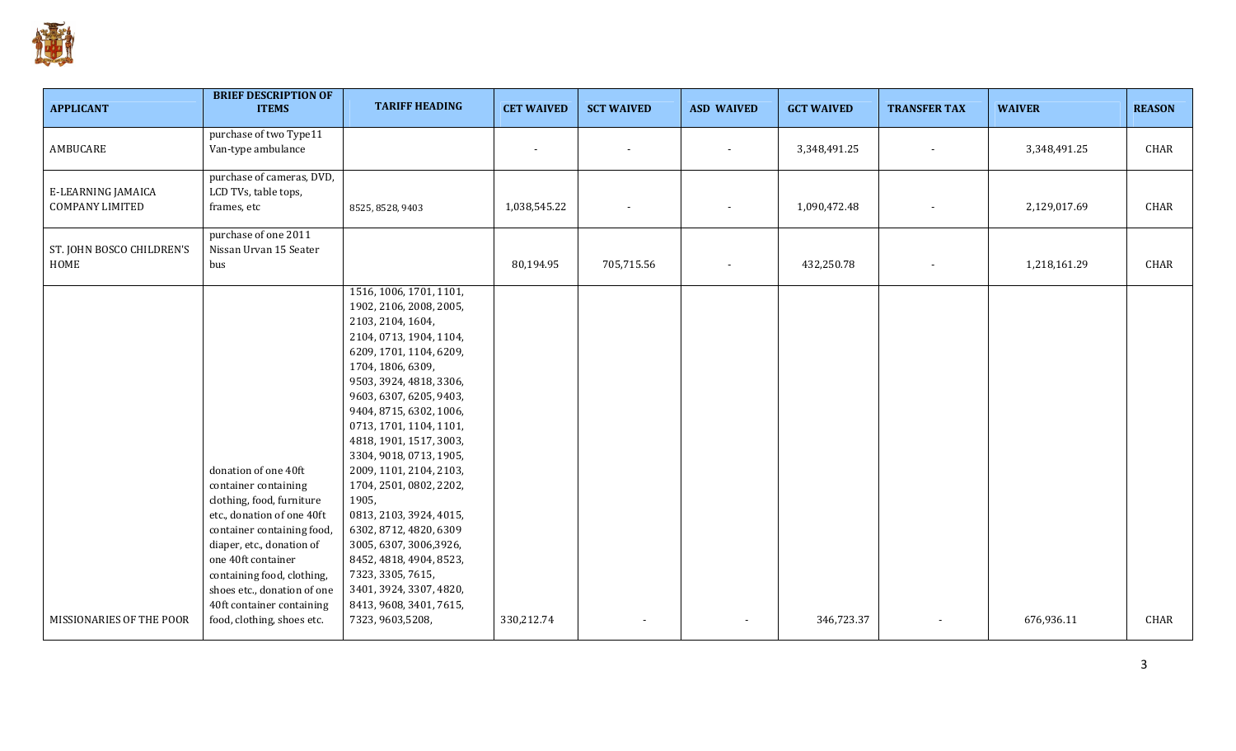

| <b>APPLICANT</b>                                    | <b>BRIEF DESCRIPTION OF</b><br><b>ITEMS</b>                                                                                                                                                                                                                                                                      | <b>TARIFF HEADING</b>                                                                                                                                                                                                                                                                                                                                                                                                                                                                                                                                                                          | <b>CET WAIVED</b> | <b>SCT WAIVED</b> | <b>ASD WAIVED</b>        | <b>GCT WAIVED</b> | <b>TRANSFER TAX</b> | <b>WAIVER</b> | <b>REASON</b> |
|-----------------------------------------------------|------------------------------------------------------------------------------------------------------------------------------------------------------------------------------------------------------------------------------------------------------------------------------------------------------------------|------------------------------------------------------------------------------------------------------------------------------------------------------------------------------------------------------------------------------------------------------------------------------------------------------------------------------------------------------------------------------------------------------------------------------------------------------------------------------------------------------------------------------------------------------------------------------------------------|-------------------|-------------------|--------------------------|-------------------|---------------------|---------------|---------------|
| AMBUCARE                                            | purchase of two Type11<br>Van-type ambulance                                                                                                                                                                                                                                                                     |                                                                                                                                                                                                                                                                                                                                                                                                                                                                                                                                                                                                |                   |                   |                          | 3,348,491.25      |                     | 3,348,491.25  | CHAR          |
| <b>E-LEARNING JAMAICA</b><br><b>COMPANY LIMITED</b> | purchase of cameras, DVD,<br>LCD TVs, table tops,<br>frames, etc                                                                                                                                                                                                                                                 | 8525, 8528, 9403                                                                                                                                                                                                                                                                                                                                                                                                                                                                                                                                                                               | 1,038,545.22      |                   |                          | 1,090,472.48      |                     | 2,129,017.69  | CHAR          |
| ST. JOHN BOSCO CHILDREN'S<br>HOME                   | purchase of one 2011<br>Nissan Urvan 15 Seater<br>bus                                                                                                                                                                                                                                                            |                                                                                                                                                                                                                                                                                                                                                                                                                                                                                                                                                                                                | 80,194.95         | 705,715.56        | $\overline{\phantom{a}}$ | 432,250.78        |                     | 1,218,161.29  | CHAR          |
| MISSIONARIES OF THE POOR                            | donation of one 40ft<br>container containing<br>clothing, food, furniture<br>etc., donation of one 40ft<br>container containing food,<br>diaper, etc., donation of<br>one 40ft container<br>containing food, clothing,<br>shoes etc., donation of one<br>40ft container containing<br>food, clothing, shoes etc. | 1516, 1006, 1701, 1101,<br>1902, 2106, 2008, 2005,<br>2103, 2104, 1604,<br>2104, 0713, 1904, 1104,<br>6209, 1701, 1104, 6209,<br>1704, 1806, 6309,<br>9503, 3924, 4818, 3306,<br>9603, 6307, 6205, 9403,<br>9404, 8715, 6302, 1006,<br>0713, 1701, 1104, 1101,<br>4818, 1901, 1517, 3003,<br>3304, 9018, 0713, 1905,<br>2009, 1101, 2104, 2103,<br>1704, 2501, 0802, 2202,<br>1905,<br>0813, 2103, 3924, 4015,<br>6302, 8712, 4820, 6309<br>3005, 6307, 3006, 3926,<br>8452, 4818, 4904, 8523,<br>7323, 3305, 7615,<br>3401, 3924, 3307, 4820,<br>8413, 9608, 3401, 7615,<br>7323, 9603, 5208, | 330,212.74        | $\blacksquare$    | $\overline{\phantom{a}}$ | 346,723.37        |                     | 676,936.11    | CHAR          |
|                                                     |                                                                                                                                                                                                                                                                                                                  |                                                                                                                                                                                                                                                                                                                                                                                                                                                                                                                                                                                                |                   |                   |                          |                   |                     |               |               |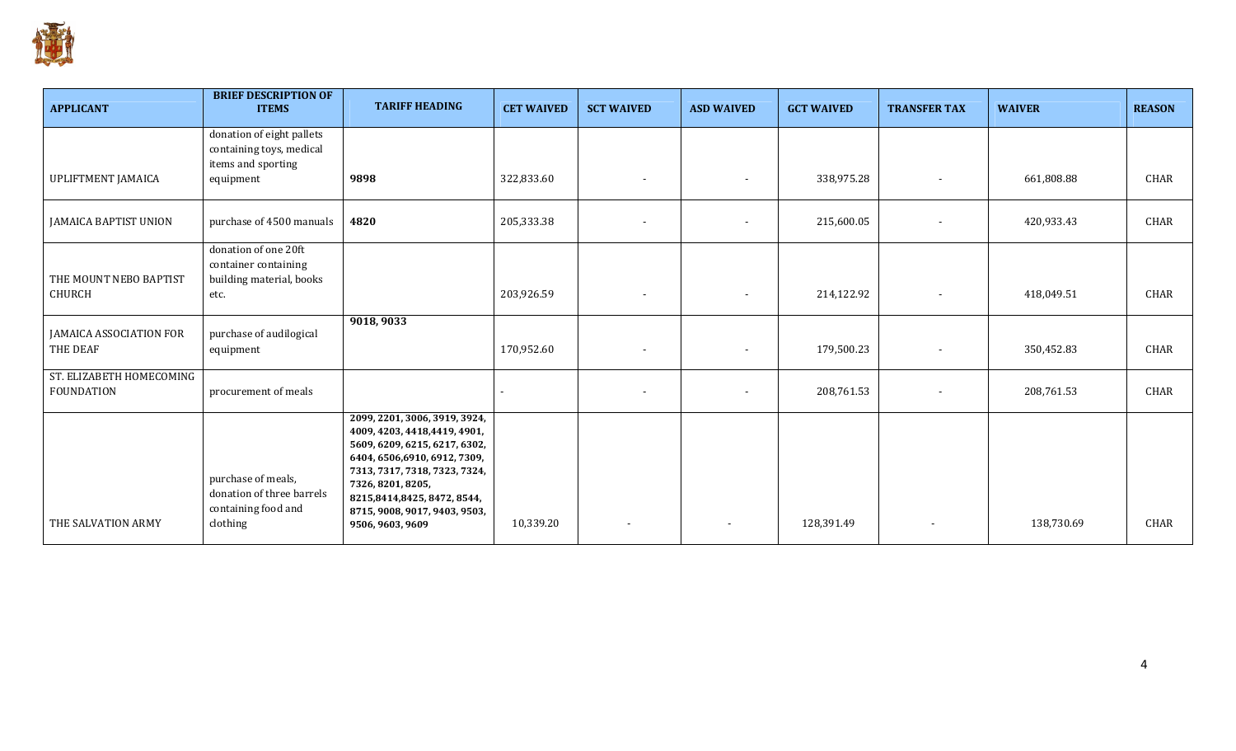

| <b>APPLICANT</b>                              | <b>BRIEF DESCRIPTION OF</b><br><b>ITEMS</b>                                        | <b>TARIFF HEADING</b>                                                                                                                                                                                                                                                    | <b>CET WAIVED</b> | <b>SCT WAIVED</b>        | <b>ASD WAIVED</b>        | <b>GCT WAIVED</b> | <b>TRANSFER TAX</b>      | <b>WAIVER</b> | <b>REASON</b> |
|-----------------------------------------------|------------------------------------------------------------------------------------|--------------------------------------------------------------------------------------------------------------------------------------------------------------------------------------------------------------------------------------------------------------------------|-------------------|--------------------------|--------------------------|-------------------|--------------------------|---------------|---------------|
|                                               | donation of eight pallets<br>containing toys, medical<br>items and sporting        |                                                                                                                                                                                                                                                                          |                   |                          |                          |                   |                          |               |               |
| UPLIFTMENT JAMAICA                            | equipment                                                                          | 9898                                                                                                                                                                                                                                                                     | 322,833.60        |                          | $\overline{\phantom{a}}$ | 338,975.28        |                          | 661,808.88    | CHAR          |
| JAMAICA BAPTIST UNION                         | purchase of 4500 manuals                                                           | 4820                                                                                                                                                                                                                                                                     | 205,333.38        |                          | $\overline{\phantom{a}}$ | 215,600.05        | $\overline{\phantom{a}}$ | 420,933.43    | CHAR          |
| THE MOUNT NEBO BAPTIST<br>CHURCH              | donation of one 20ft<br>container containing<br>building material, books<br>etc.   |                                                                                                                                                                                                                                                                          | 203,926.59        | $\overline{\phantom{a}}$ | $\overline{\phantom{a}}$ | 214,122.92        | $\overline{\phantom{a}}$ | 418,049.51    | CHAR          |
| JAMAICA ASSOCIATION FOR<br>THE DEAF           | purchase of audilogical<br>equipment                                               | 9018, 9033                                                                                                                                                                                                                                                               | 170,952.60        |                          | $\overline{\phantom{a}}$ | 179,500.23        |                          | 350,452.83    | CHAR          |
| ST. ELIZABETH HOMECOMING<br><b>FOUNDATION</b> | procurement of meals                                                               |                                                                                                                                                                                                                                                                          |                   |                          | $\overline{\phantom{a}}$ | 208,761.53        | $\overline{\phantom{a}}$ | 208,761.53    | CHAR          |
| THE SALVATION ARMY                            | purchase of meals,<br>donation of three barrels<br>containing food and<br>clothing | 2099, 2201, 3006, 3919, 3924,<br>4009, 4203, 4418, 4419, 4901,<br>5609, 6209, 6215, 6217, 6302,<br>6404, 6506, 6910, 6912, 7309,<br>7313, 7317, 7318, 7323, 7324,<br>7326, 8201, 8205,<br>8215,8414,8425,8472,8544,<br>8715, 9008, 9017, 9403, 9503,<br>9506, 9603, 9609 | 10,339.20         |                          |                          | 128,391.49        |                          | 138,730.69    | <b>CHAR</b>   |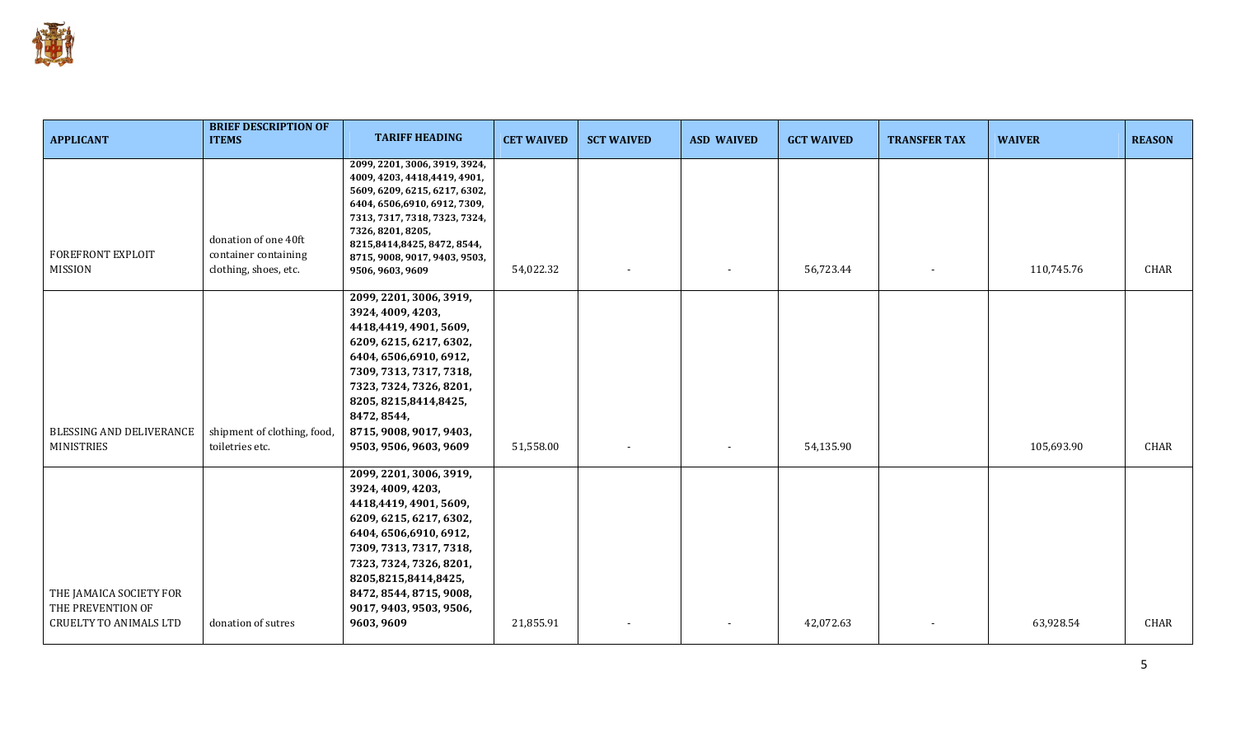

| <b>APPLICANT</b>                                                              | <b>BRIEF DESCRIPTION OF</b><br><b>ITEMS</b>                           | <b>TARIFF HEADING</b>                                                                                                                                                                                                                                                             | <b>CET WAIVED</b> | <b>SCT WAIVED</b> | <b>ASD WAIVED</b> | <b>GCT WAIVED</b> | <b>TRANSFER TAX</b> | <b>WAIVER</b> | <b>REASON</b> |
|-------------------------------------------------------------------------------|-----------------------------------------------------------------------|-----------------------------------------------------------------------------------------------------------------------------------------------------------------------------------------------------------------------------------------------------------------------------------|-------------------|-------------------|-------------------|-------------------|---------------------|---------------|---------------|
| FOREFRONT EXPLOIT<br><b>MISSION</b>                                           | donation of one 40ft<br>container containing<br>clothing, shoes, etc. | 2099, 2201, 3006, 3919, 3924,<br>4009, 4203, 4418, 4419, 4901,<br>5609, 6209, 6215, 6217, 6302,<br>6404, 6506, 6910, 6912, 7309,<br>7313, 7317, 7318, 7323, 7324,<br>7326, 8201, 8205,<br>8215,8414,8425,8472,8544,<br>8715, 9008, 9017, 9403, 9503,<br>9506, 9603, 9609          | 54,022.32         |                   |                   | 56,723.44         |                     | 110,745.76    | CHAR          |
| BLESSING AND DELIVERANCE<br><b>MINISTRIES</b>                                 | shipment of clothing, food,<br>toiletries etc.                        | 2099, 2201, 3006, 3919,<br>3924, 4009, 4203,<br>4418,4419, 4901, 5609,<br>6209, 6215, 6217, 6302,<br>6404, 6506, 6910, 6912,<br>7309, 7313, 7317, 7318,<br>7323, 7324, 7326, 8201,<br>8205, 8215, 8414, 8425,<br>8472, 8544,<br>8715, 9008, 9017, 9403,<br>9503, 9506, 9603, 9609 | 51,558.00         |                   |                   | 54,135.90         |                     | 105,693.90    | CHAR          |
| THE JAMAICA SOCIETY FOR<br>THE PREVENTION OF<br><b>CRUELTY TO ANIMALS LTD</b> | donation of sutres                                                    | 2099, 2201, 3006, 3919,<br>3924, 4009, 4203,<br>4418,4419, 4901, 5609,<br>6209, 6215, 6217, 6302,<br>6404, 6506, 6910, 6912,<br>7309, 7313, 7317, 7318,<br>7323, 7324, 7326, 8201,<br>8205,8215,8414,8425,<br>8472, 8544, 8715, 9008,<br>9017, 9403, 9503, 9506,<br>9603, 9609    | 21,855.91         |                   |                   | 42,072.63         |                     | 63,928.54     | CHAR          |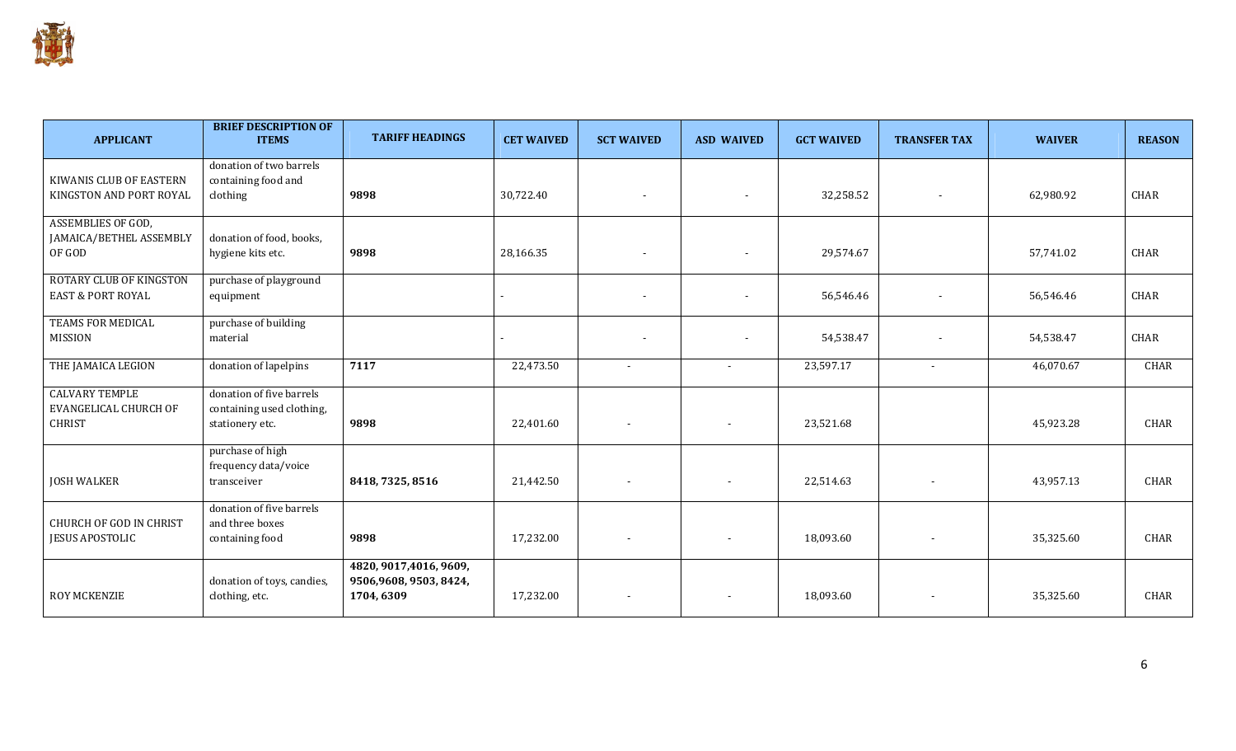

| <b>APPLICANT</b>                                                | <b>BRIEF DESCRIPTION OF</b><br><b>ITEMS</b>                              | <b>TARIFF HEADINGS</b>                                          | <b>CET WAIVED</b> | <b>SCT WAIVED</b>        | <b>ASD WAIVED</b>        | <b>GCT WAIVED</b> | <b>TRANSFER TAX</b> | <b>WAIVER</b> | <b>REASON</b> |
|-----------------------------------------------------------------|--------------------------------------------------------------------------|-----------------------------------------------------------------|-------------------|--------------------------|--------------------------|-------------------|---------------------|---------------|---------------|
| KIWANIS CLUB OF EASTERN<br>KINGSTON AND PORT ROYAL              | donation of two barrels<br>containing food and<br>clothing               | 9898                                                            | 30,722.40         |                          |                          | 32,258.52         |                     | 62,980.92     | CHAR          |
| ASSEMBLIES OF GOD,<br>JAMAICA/BETHEL ASSEMBLY<br>OF GOD         | donation of food, books,<br>hygiene kits etc.                            | 9898                                                            | 28,166.35         | $\blacksquare$           |                          | 29,574.67         |                     | 57,741.02     | CHAR          |
| <b>ROTARY CLUB OF KINGSTON</b><br><b>EAST &amp; PORT ROYAL</b>  | purchase of playground<br>equipment                                      |                                                                 |                   |                          |                          | 56,546.46         |                     | 56,546.46     | CHAR          |
| TEAMS FOR MEDICAL<br>MISSION                                    | purchase of building<br>material                                         |                                                                 |                   |                          |                          | 54,538.47         |                     | 54,538.47     | CHAR          |
| THE JAMAICA LEGION                                              | donation of lapelpins                                                    | 7117                                                            | 22,473.50         | $\overline{\phantom{a}}$ | $\overline{a}$           | 23,597.17         |                     | 46,070.67     | CHAR          |
| <b>CALVARY TEMPLE</b><br>EVANGELICAL CHURCH OF<br><b>CHRIST</b> | donation of five barrels<br>containing used clothing,<br>stationery etc. | 9898                                                            | 22,401.60         |                          | $\overline{\phantom{a}}$ | 23,521.68         |                     | 45,923.28     | <b>CHAR</b>   |
| <b>JOSH WALKER</b>                                              | purchase of high<br>frequency data/voice<br>transceiver                  | 8418, 7325, 8516                                                | 21,442.50         | $\overline{\phantom{a}}$ | $\overline{\phantom{a}}$ | 22,514.63         |                     | 43,957.13     | CHAR          |
| <b>CHURCH OF GOD IN CHRIST</b><br><b>JESUS APOSTOLIC</b>        | donation of five barrels<br>and three boxes<br>containing food           | 9898                                                            | 17,232.00         | $\overline{\phantom{a}}$ | $\overline{\phantom{a}}$ | 18,093.60         |                     | 35,325.60     | CHAR          |
| ROY MCKENZIE                                                    | donation of toys, candies,<br>clothing, etc.                             | 4820, 9017, 4016, 9609,<br>9506,9608, 9503, 8424,<br>1704, 6309 | 17,232.00         |                          |                          | 18,093.60         |                     | 35,325.60     | <b>CHAR</b>   |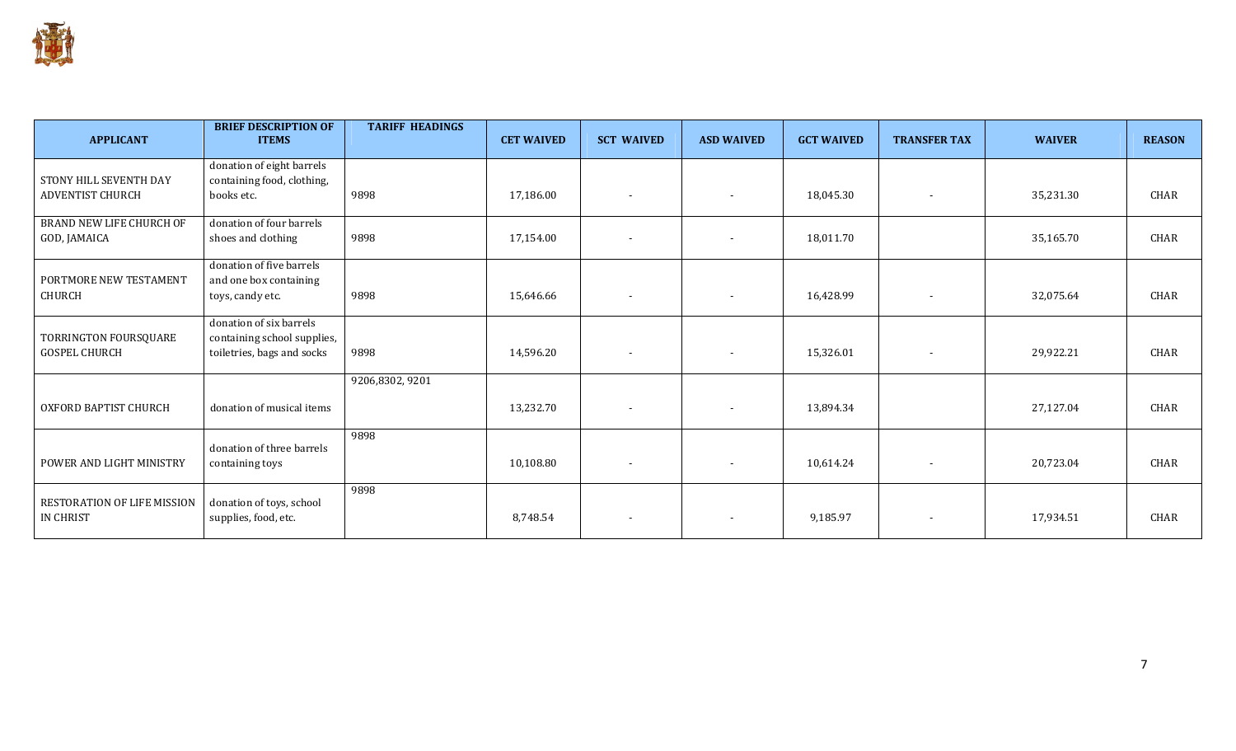

| <b>APPLICANT</b>                                  | <b>BRIEF DESCRIPTION OF</b><br><b>ITEMS</b>                                          | <b>TARIFF HEADINGS</b> | <b>CET WAIVED</b> | <b>SCT WAIVED</b>        | <b>ASD WAIVED</b>        | <b>GCT WAIVED</b> | <b>TRANSFER TAX</b>      | <b>WAIVER</b> | <b>REASON</b> |
|---------------------------------------------------|--------------------------------------------------------------------------------------|------------------------|-------------------|--------------------------|--------------------------|-------------------|--------------------------|---------------|---------------|
| STONY HILL SEVENTH DAY<br><b>ADVENTIST CHURCH</b> | donation of eight barrels<br>containing food, clothing,<br>books etc.                | 9898                   | 17,186.00         | $\overline{\phantom{a}}$ | $\overline{\phantom{a}}$ | 18,045.30         | $\overline{\phantom{a}}$ | 35,231.30     | CHAR          |
| BRAND NEW LIFE CHURCH OF<br>GOD, JAMAICA          | donation of four barrels<br>shoes and clothing                                       | 9898                   | 17,154.00         | $\overline{\phantom{a}}$ |                          | 18,011.70         |                          | 35,165.70     | CHAR          |
| PORTMORE NEW TESTAMENT<br>CHURCH                  | donation of five barrels<br>and one box containing<br>toys, candy etc.               | 9898                   | 15,646.66         |                          |                          | 16,428.99         |                          | 32,075.64     | <b>CHAR</b>   |
| TORRINGTON FOURSQUARE<br><b>GOSPEL CHURCH</b>     | donation of six barrels<br>containing school supplies,<br>toiletries, bags and socks | 9898                   | 14,596.20         | $\overline{\phantom{a}}$ | $\overline{\phantom{a}}$ | 15,326.01         | $\overline{\phantom{a}}$ | 29,922.21     | CHAR          |
| OXFORD BAPTIST CHURCH                             | donation of musical items                                                            | 9206,8302,9201         | 13,232.70         | $\overline{\phantom{a}}$ | $\blacksquare$           | 13,894.34         |                          | 27,127.04     | CHAR          |
| POWER AND LIGHT MINISTRY                          | donation of three barrels<br>containing toys                                         | 9898                   | 10,108.80         | $\sim$                   | $\blacksquare$           | 10,614.24         | $\overline{\phantom{a}}$ | 20,723.04     | CHAR          |
| RESTORATION OF LIFE MISSION<br><b>IN CHRIST</b>   | donation of toys, school<br>supplies, food, etc.                                     | 9898                   | 8,748.54          | $\overline{\phantom{a}}$ | $\overline{\phantom{a}}$ | 9,185.97          | $\overline{\phantom{a}}$ | 17,934.51     | CHAR          |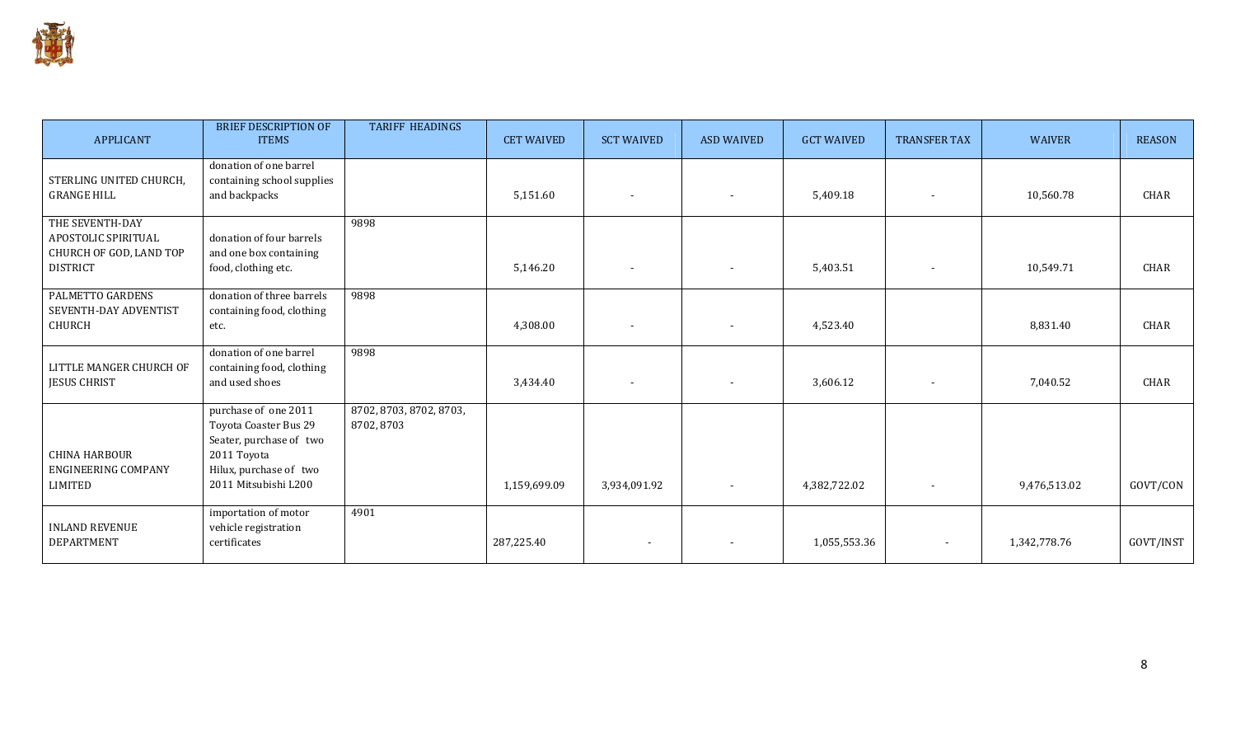

| <b>APPLICANT</b>                                                                     | <b>BRIEF DESCRIPTION OF</b><br><b>ITEMS</b>                                                                                               | <b>TARIFF HEADINGS</b>                | <b>CET WAIVED</b> | <b>SCT WAIVED</b>        | <b>ASD WAIVED</b>        | <b>GCT WAIVED</b> | <b>TRANSFER TAX</b> | <b>WAIVER</b> | <b>REASON</b> |
|--------------------------------------------------------------------------------------|-------------------------------------------------------------------------------------------------------------------------------------------|---------------------------------------|-------------------|--------------------------|--------------------------|-------------------|---------------------|---------------|---------------|
| STERLING UNITED CHURCH,<br><b>GRANGE HILL</b>                                        | donation of one barrel<br>containing school supplies<br>and backpacks                                                                     |                                       | 5,151.60          | $\sim$                   |                          | 5,409.18          |                     | 10,560.78     | CHAR          |
| THE SEVENTH-DAY<br>APOSTOLIC SPIRITUAL<br>CHURCH OF GOD, LAND TOP<br><b>DISTRICT</b> | donation of four barrels<br>and one box containing<br>food, clothing etc.                                                                 | 9898                                  | 5,146.20          | $\overline{\phantom{a}}$ |                          | 5,403.51          |                     | 10,549.71     | <b>CHAR</b>   |
| PALMETTO GARDENS<br>SEVENTH-DAY ADVENTIST<br><b>CHURCH</b>                           | donation of three barrels<br>containing food, clothing<br>etc.                                                                            | 9898                                  | 4,308.00          | $\overline{\phantom{a}}$ |                          | 4,523.40          |                     | 8,831.40      | CHAR          |
| LITTLE MANGER CHURCH OF<br><b>JESUS CHRIST</b>                                       | donation of one barrel<br>containing food, clothing<br>and used shoes                                                                     | 9898                                  | 3,434.40          |                          |                          | 3,606.12          |                     | 7,040.52      | CHAR          |
| <b>CHINA HARBOUR</b><br>ENGINEERING COMPANY<br><b>LIMITED</b>                        | purchase of one 2011<br>Toyota Coaster Bus 29<br>Seater, purchase of two<br>2011 Toyota<br>Hilux, purchase of two<br>2011 Mitsubishi L200 | 8702, 8703, 8702, 8703,<br>8702, 8703 | 1,159,699.09      | 3,934,091.92             | $\overline{\phantom{a}}$ | 4,382,722.02      |                     | 9,476,513.02  | GOVT/CON      |
| <b>INLAND REVENUE</b><br>DEPARTMENT                                                  | importation of motor<br>vehicle registration<br>certificates                                                                              | 4901                                  | 287,225.40        | $\overline{\phantom{a}}$ |                          | 1,055,553.36      |                     | 1,342,778.76  | GOVT/INST     |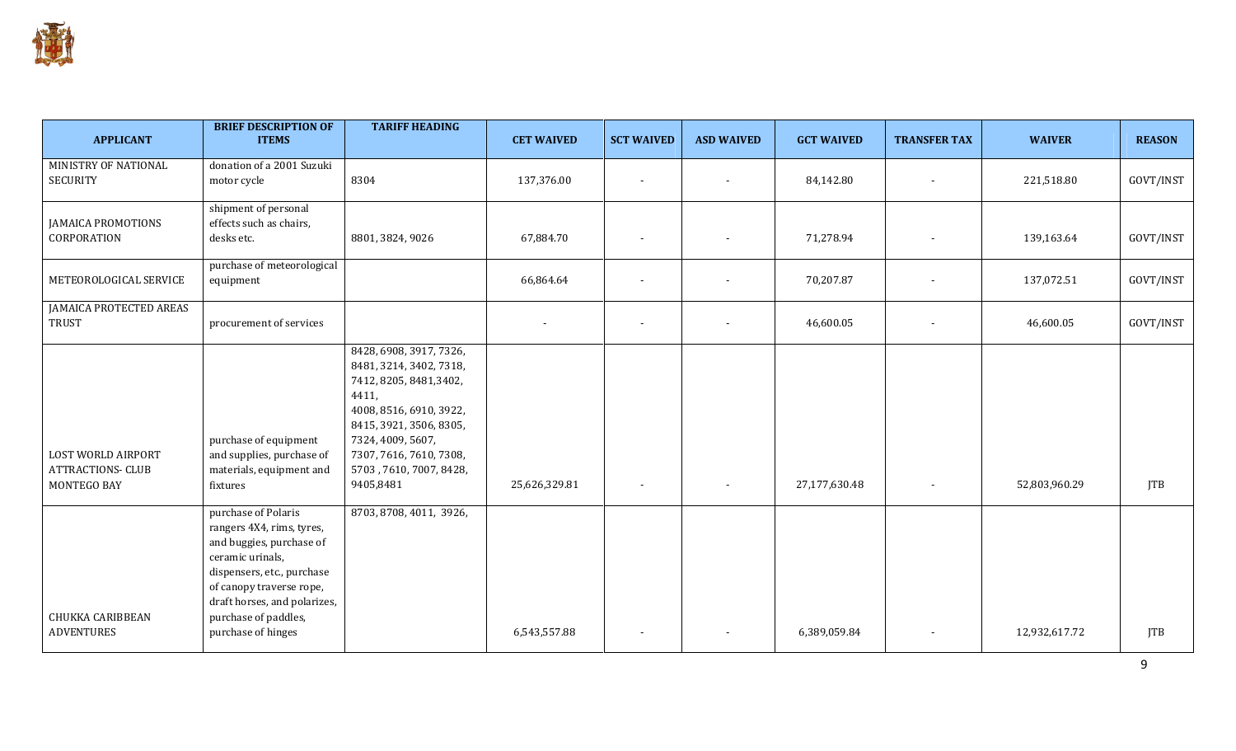| <b>APPLICANT</b>                                              | <b>BRIEF DESCRIPTION OF</b><br><b>ITEMS</b>                                                                                                                                                                                              | <b>TARIFF HEADING</b>                                                                                                                                                                                                                | <b>CET WAIVED</b> | <b>SCT WAIVED</b>        | <b>ASD WAIVED</b>        | <b>GCT WAIVED</b> | <b>TRANSFER TAX</b> | <b>WAIVER</b> | <b>REASON</b> |
|---------------------------------------------------------------|------------------------------------------------------------------------------------------------------------------------------------------------------------------------------------------------------------------------------------------|--------------------------------------------------------------------------------------------------------------------------------------------------------------------------------------------------------------------------------------|-------------------|--------------------------|--------------------------|-------------------|---------------------|---------------|---------------|
| MINISTRY OF NATIONAL<br><b>SECURITY</b>                       | donation of a 2001 Suzuki<br>motor cycle                                                                                                                                                                                                 | 8304                                                                                                                                                                                                                                 | 137,376.00        | $\overline{\phantom{a}}$ | $\overline{\phantom{a}}$ | 84,142.80         |                     | 221,518.80    | GOVT/INST     |
| <b>JAMAICA PROMOTIONS</b><br>CORPORATION                      | shipment of personal<br>effects such as chairs,<br>desks etc.                                                                                                                                                                            | 8801, 3824, 9026                                                                                                                                                                                                                     | 67,884.70         |                          |                          | 71,278.94         |                     | 139,163.64    | GOVT/INST     |
| METEOROLOGICAL SERVICE                                        | purchase of meteorological<br>equipment                                                                                                                                                                                                  |                                                                                                                                                                                                                                      | 66,864.64         |                          |                          | 70,207.87         |                     | 137,072.51    | GOVT/INST     |
| <b>JAMAICA PROTECTED AREAS</b><br><b>TRUST</b>                | procurement of services                                                                                                                                                                                                                  |                                                                                                                                                                                                                                      |                   | $\overline{\phantom{a}}$ | $\overline{\phantom{a}}$ | 46,600.05         |                     | 46,600.05     | GOVT/INST     |
| LOST WORLD AIRPORT<br><b>ATTRACTIONS- CLUB</b><br>MONTEGO BAY | purchase of equipment<br>and supplies, purchase of<br>materials, equipment and<br>fixtures                                                                                                                                               | 8428, 6908, 3917, 7326,<br>8481, 3214, 3402, 7318,<br>7412, 8205, 8481, 3402,<br>4411,<br>4008, 8516, 6910, 3922,<br>8415, 3921, 3506, 8305,<br>7324, 4009, 5607,<br>7307, 7616, 7610, 7308,<br>5703, 7610, 7007, 8428,<br>9405,8481 | 25,626,329.81     | $\overline{\phantom{a}}$ |                          | 27,177,630.48     |                     | 52,803,960.29 | <b>JTB</b>    |
| <b>CHUKKA CARIBBEAN</b><br><b>ADVENTURES</b>                  | purchase of Polaris<br>rangers 4X4, rims, tyres,<br>and buggies, purchase of<br>ceramic urinals,<br>dispensers, etc., purchase<br>of canopy traverse rope,<br>draft horses, and polarizes,<br>purchase of paddles,<br>purchase of hinges | 8703, 8708, 4011, 3926,                                                                                                                                                                                                              | 6,543,557.88      |                          |                          | 6,389,059.84      |                     | 12,932,617.72 | <b>JTB</b>    |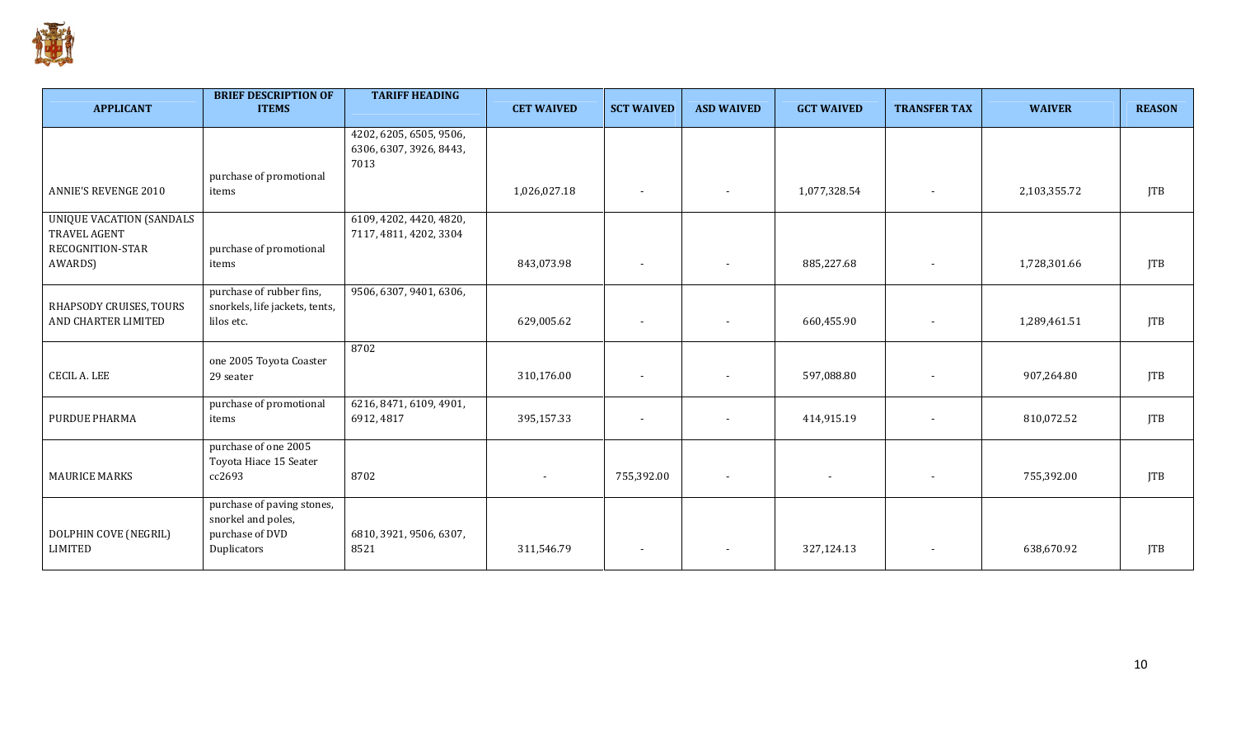

| <b>APPLICANT</b>                                                    | <b>BRIEF DESCRIPTION OF</b><br><b>ITEMS</b>                                        | <b>TARIFF HEADING</b>                                      | <b>CET WAIVED</b>        | <b>SCT WAIVED</b>        | <b>ASD WAIVED</b>        | <b>GCT WAIVED</b>        | <b>TRANSFER TAX</b> | <b>WAIVER</b> | <b>REASON</b> |
|---------------------------------------------------------------------|------------------------------------------------------------------------------------|------------------------------------------------------------|--------------------------|--------------------------|--------------------------|--------------------------|---------------------|---------------|---------------|
|                                                                     |                                                                                    | 4202, 6205, 6505, 9506,<br>6306, 6307, 3926, 8443,<br>7013 |                          |                          |                          |                          |                     |               |               |
| <b>ANNIE'S REVENGE 2010</b>                                         | purchase of promotional<br>items                                                   |                                                            | 1,026,027.18             | $\sim$                   | $\overline{\phantom{a}}$ | 1,077,328.54             |                     | 2,103,355.72  | <b>JTB</b>    |
| <b>UNIQUE VACATION (SANDALS</b><br>TRAVEL AGENT<br>RECOGNITION-STAR | purchase of promotional                                                            | 6109, 4202, 4420, 4820,<br>7117, 4811, 4202, 3304          |                          |                          |                          |                          |                     |               |               |
| AWARDS)                                                             | items                                                                              |                                                            | 843,073.98               | $\sim$                   |                          | 885,227.68               |                     | 1,728,301.66  | <b>JTB</b>    |
| RHAPSODY CRUISES, TOURS<br>AND CHARTER LIMITED                      | purchase of rubber fins,<br>snorkels, life jackets, tents,<br>lilos etc.           | 9506, 6307, 9401, 6306,                                    | 629,005.62               | $\sim$                   | $\sim$                   | 660,455.90               |                     | 1,289,461.51  | <b>JTB</b>    |
| <b>CECIL A. LEE</b>                                                 | one 2005 Toyota Coaster<br>29 seater                                               | 8702                                                       | 310,176.00               |                          |                          | 597,088.80               |                     | 907,264.80    | <b>JTB</b>    |
| PURDUE PHARMA                                                       | purchase of promotional<br>items                                                   | 6216, 8471, 6109, 4901,<br>6912, 4817                      | 395,157.33               | $\sim$                   | $\overline{a}$           | 414,915.19               |                     | 810,072.52    | <b>JTB</b>    |
| <b>MAURICE MARKS</b>                                                | purchase of one 2005<br>Toyota Hiace 15 Seater<br>cc2693                           | 8702                                                       | $\overline{\phantom{a}}$ | 755,392.00               | $\sim$                   | $\overline{\phantom{a}}$ |                     | 755,392.00    | <b>JTB</b>    |
| DOLPHIN COVE (NEGRIL)<br><b>LIMITED</b>                             | purchase of paving stones,<br>snorkel and poles,<br>purchase of DVD<br>Duplicators | 6810, 3921, 9506, 6307,<br>8521                            | 311,546.79               | $\overline{\phantom{a}}$ |                          | 327,124.13               |                     | 638,670.92    | <b>JTB</b>    |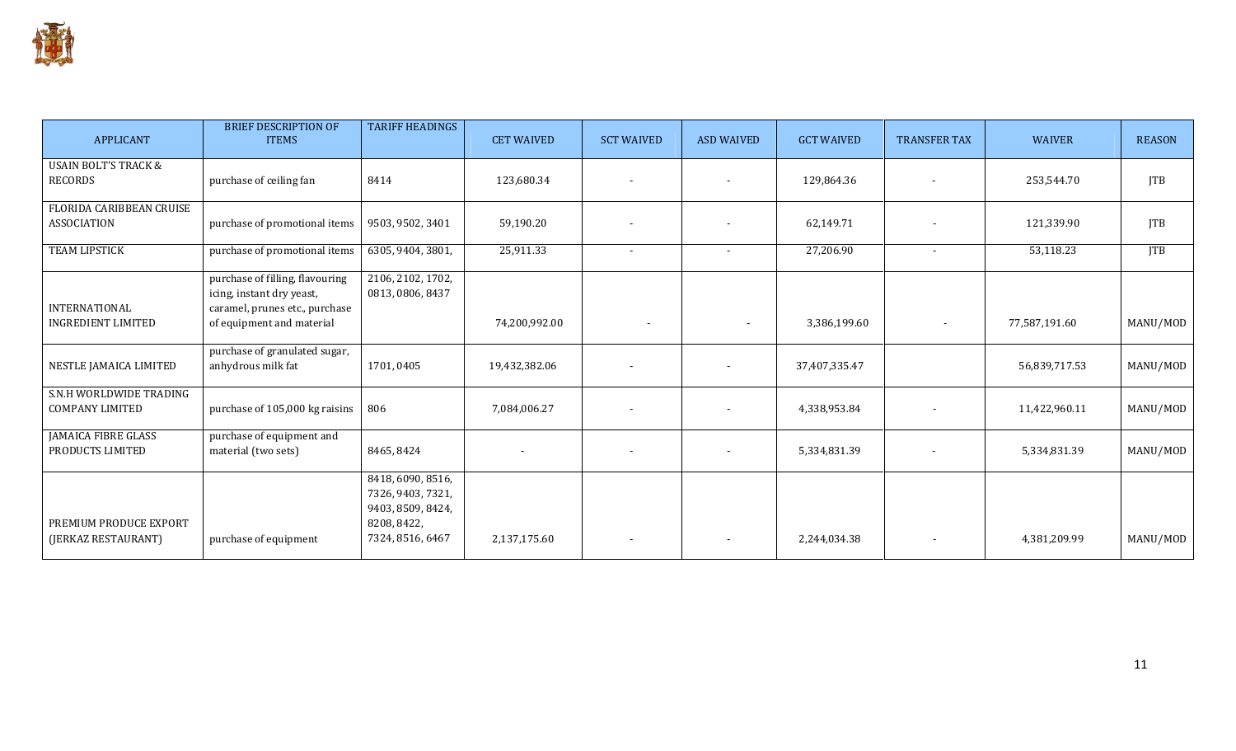

| <b>APPLICANT</b>                                  | <b>BRIEF DESCRIPTION OF</b><br><b>ITEMS</b>                                                                                 | <b>TARIFF HEADINGS</b>                                                                         | <b>CET WAIVED</b> | <b>SCT WAIVED</b>        | <b>ASD WAIVED</b> | <b>GCT WAIVED</b> | <b>TRANSFER TAX</b> | <b>WAIVER</b> | <b>REASON</b> |
|---------------------------------------------------|-----------------------------------------------------------------------------------------------------------------------------|------------------------------------------------------------------------------------------------|-------------------|--------------------------|-------------------|-------------------|---------------------|---------------|---------------|
| <b>USAIN BOLT'S TRACK &amp;</b><br><b>RECORDS</b> | purchase of ceiling fan                                                                                                     | 8414                                                                                           | 123,680.34        |                          |                   | 129,864.36        |                     | 253,544.70    | <b>JTB</b>    |
| FLORIDA CARIBBEAN CRUISE<br><b>ASSOCIATION</b>    | purchase of promotional items                                                                                               | 9503, 9502, 3401                                                                               | 59,190.20         |                          |                   | 62,149.71         |                     | 121,339.90    | <b>JTB</b>    |
| <b>TEAM LIPSTICK</b>                              | purchase of promotional items                                                                                               | 6305, 9404, 3801,                                                                              | 25,911.33         | $\overline{\phantom{a}}$ |                   | 27,206.90         |                     | 53,118.23     | <b>JTB</b>    |
| <b>INTERNATIONAL</b><br><b>INGREDIENT LIMITED</b> | purchase of filling, flavouring<br>icing, instant dry yeast,<br>caramel, prunes etc., purchase<br>of equipment and material | 2106, 2102, 1702,<br>0813, 0806, 8437                                                          | 74,200,992.00     |                          | $\blacksquare$    | 3,386,199.60      | $\blacksquare$      | 77,587,191.60 | MANU/MOD      |
|                                                   |                                                                                                                             |                                                                                                |                   |                          |                   |                   |                     |               |               |
| NESTLE JAMAICA LIMITED                            | purchase of granulated sugar,<br>anhydrous milk fat                                                                         | 1701,0405                                                                                      | 19,432,382.06     |                          |                   | 37,407,335.47     |                     | 56,839,717.53 | MANU/MOD      |
| S.N.H WORLDWIDE TRADING<br><b>COMPANY LIMITED</b> | purchase of 105,000 kg raisins                                                                                              | 806                                                                                            | 7,084,006.27      | $\overline{\phantom{a}}$ |                   | 4,338,953.84      |                     | 11,422,960.11 | MANU/MOD      |
| <b>JAMAICA FIBRE GLASS</b><br>PRODUCTS LIMITED    | purchase of equipment and<br>material (two sets)                                                                            | 8465, 8424                                                                                     |                   | $\overline{\phantom{a}}$ |                   | 5,334,831.39      |                     | 5,334,831.39  | MANU/MOD      |
| PREMIUM PRODUCE EXPORT<br>(JERKAZ RESTAURANT)     | purchase of equipment                                                                                                       | 8418, 6090, 8516,<br>7326, 9403, 7321,<br>9403, 8509, 8424,<br>8208, 8422,<br>7324, 8516, 6467 | 2,137,175.60      | $\overline{\phantom{a}}$ |                   | 2,244,034.38      |                     | 4,381,209.99  | MANU/MOD      |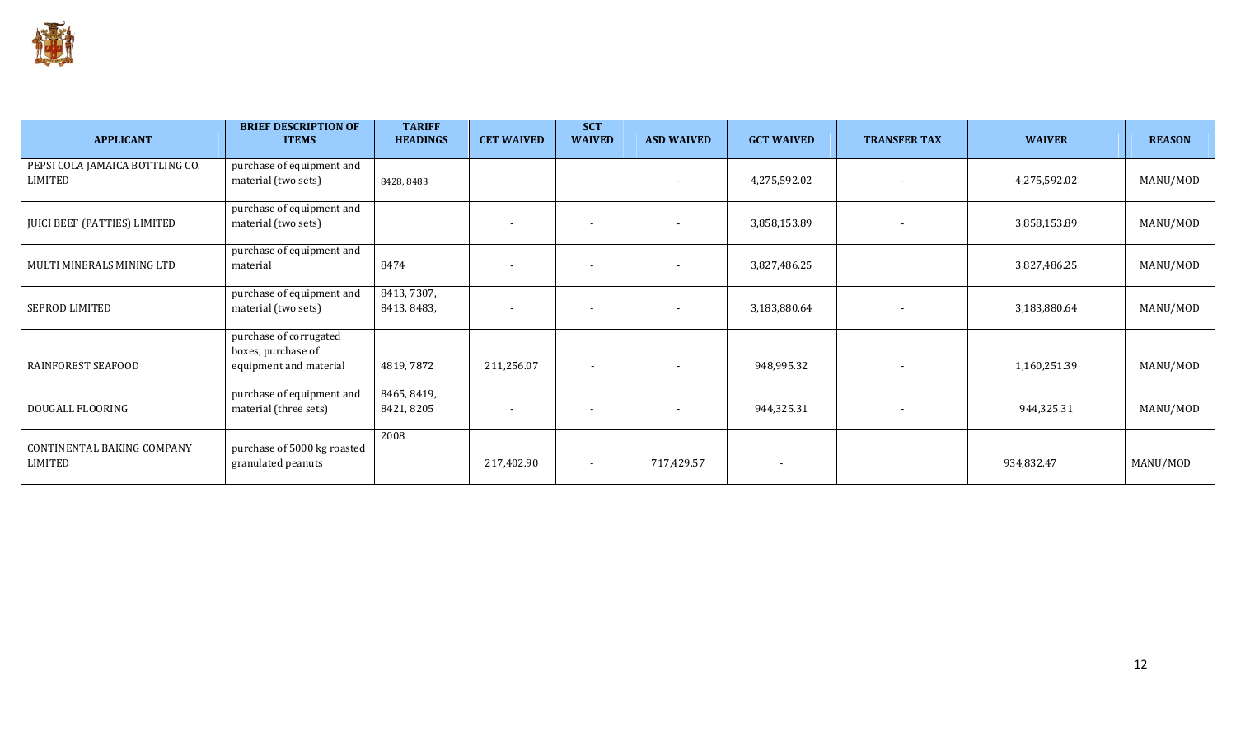

| <b>APPLICANT</b>                           | <b>BRIEF DESCRIPTION OF</b><br><b>ITEMS</b>                            | <b>TARIFF</b><br><b>HEADINGS</b> | <b>CET WAIVED</b> | <b>SCT</b><br><b>WAIVED</b> | <b>ASD WAIVED</b>        | <b>GCT WAIVED</b>        | <b>TRANSFER TAX</b>      | <b>WAIVER</b> | <b>REASON</b> |
|--------------------------------------------|------------------------------------------------------------------------|----------------------------------|-------------------|-----------------------------|--------------------------|--------------------------|--------------------------|---------------|---------------|
| PEPSI COLA JAMAICA BOTTLING CO.<br>LIMITED | purchase of equipment and<br>material (two sets)                       | 8428, 8483                       |                   |                             |                          | 4,275,592.02             |                          | 4,275,592.02  | MANU/MOD      |
| JUICI BEEF (PATTIES) LIMITED               | purchase of equipment and<br>material (two sets)                       |                                  |                   |                             |                          | 3,858,153.89             |                          | 3,858,153.89  | MANU/MOD      |
| MULTI MINERALS MINING LTD                  | purchase of equipment and<br>material                                  | 8474                             |                   |                             |                          | 3,827,486.25             |                          | 3,827,486.25  | MANU/MOD      |
| SEPROD LIMITED                             | purchase of equipment and<br>material (two sets)                       | 8413, 7307,<br>8413, 8483,       |                   |                             |                          | 3,183,880.64             |                          | 3,183,880.64  | MANU/MOD      |
| RAINFOREST SEAFOOD                         | purchase of corrugated<br>boxes, purchase of<br>equipment and material | 4819,7872                        | 211,256.07        | $\overline{\phantom{a}}$    | $\overline{\phantom{a}}$ | 948,995.32               | $\overline{\phantom{a}}$ | 1,160,251.39  | MANU/MOD      |
| DOUGALL FLOORING                           | purchase of equipment and<br>material (three sets)                     | 8465, 8419,<br>8421, 8205        |                   |                             |                          | 944,325.31               |                          | 944,325.31    | MANU/MOD      |
| CONTINENTAL BAKING COMPANY<br>LIMITED      | purchase of 5000 kg roasted<br>granulated peanuts                      | 2008                             | 217,402.90        | $\blacksquare$              | 717,429.57               | $\overline{\phantom{a}}$ |                          | 934,832.47    | MANU/MOD      |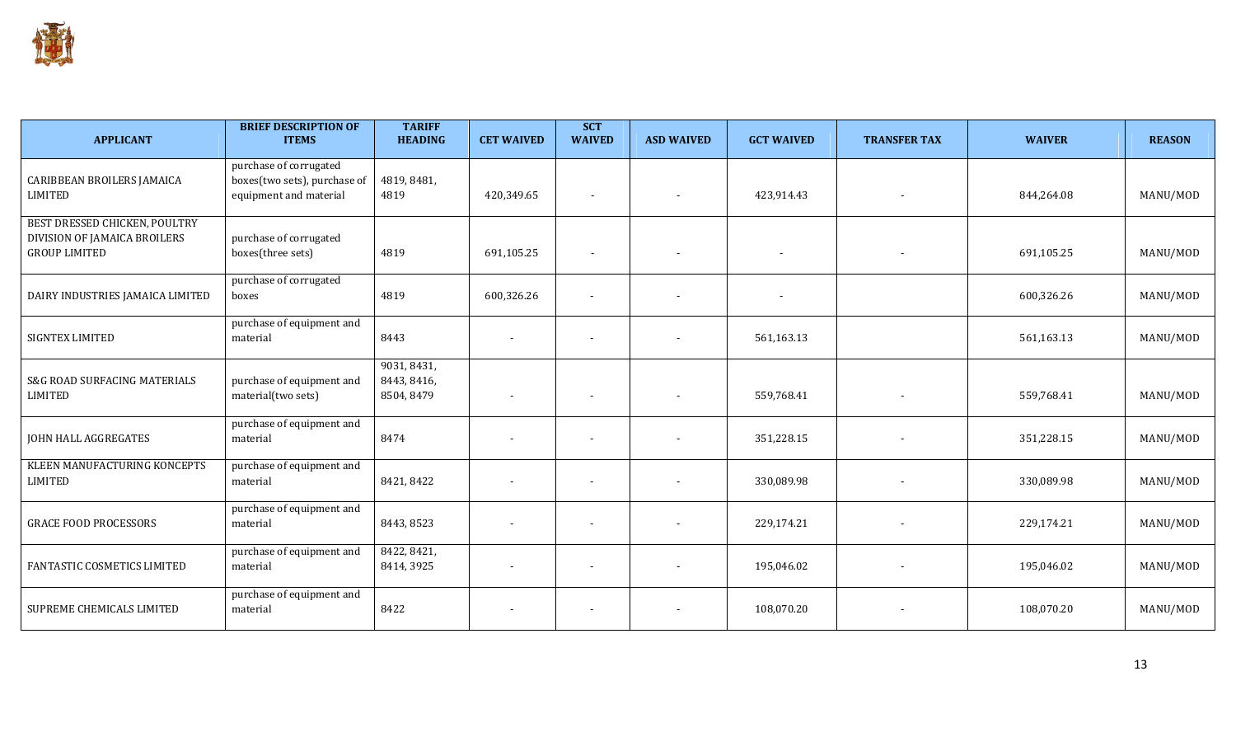

| <b>APPLICANT</b>                                                                      | <b>BRIEF DESCRIPTION OF</b><br><b>ITEMS</b>                                      | <b>TARIFF</b><br><b>HEADING</b>          | <b>CET WAIVED</b>        | <b>SCT</b><br><b>WAIVED</b> | <b>ASD WAIVED</b>        | <b>GCT WAIVED</b> | <b>TRANSFER TAX</b> | <b>WAIVER</b> | <b>REASON</b> |
|---------------------------------------------------------------------------------------|----------------------------------------------------------------------------------|------------------------------------------|--------------------------|-----------------------------|--------------------------|-------------------|---------------------|---------------|---------------|
| <b>CARIBBEAN BROILERS JAMAICA</b><br>LIMITED                                          | purchase of corrugated<br>boxes(two sets), purchase of<br>equipment and material | 4819, 8481,<br>4819                      | 420,349.65               |                             |                          | 423,914.43        |                     | 844,264.08    | MANU/MOD      |
| BEST DRESSED CHICKEN, POULTRY<br>DIVISION OF JAMAICA BROILERS<br><b>GROUP LIMITED</b> | purchase of corrugated<br>boxes(three sets)                                      | 4819                                     | 691,105.25               |                             |                          |                   |                     | 691,105.25    | MANU/MOD      |
| DAIRY INDUSTRIES JAMAICA LIMITED                                                      | purchase of corrugated<br>boxes                                                  | 4819                                     | 600,326.26               |                             |                          |                   |                     | 600,326.26    | MANU/MOD      |
| SIGNTEX LIMITED                                                                       | purchase of equipment and<br>material                                            | 8443                                     |                          |                             |                          | 561,163.13        |                     | 561,163.13    | MANU/MOD      |
| S&G ROAD SURFACING MATERIALS<br><b>LIMITED</b>                                        | purchase of equipment and<br>material(two sets)                                  | 9031, 8431,<br>8443, 8416,<br>8504, 8479 |                          |                             |                          | 559,768.41        |                     | 559,768.41    | MANU/MOD      |
| JOHN HALL AGGREGATES                                                                  | purchase of equipment and<br>material                                            | 8474                                     |                          |                             |                          | 351,228.15        |                     | 351,228.15    | MANU/MOD      |
| KLEEN MANUFACTURING KONCEPTS<br>LIMITED                                               | purchase of equipment and<br>material                                            | 8421, 8422                               | $\overline{\phantom{a}}$ |                             |                          | 330,089.98        |                     | 330,089.98    | MANU/MOD      |
| <b>GRACE FOOD PROCESSORS</b>                                                          | purchase of equipment and<br>material                                            | 8443, 8523                               |                          |                             |                          | 229,174.21        |                     | 229,174.21    | MANU/MOD      |
| FANTASTIC COSMETICS LIMITED                                                           | purchase of equipment and<br>material                                            | 8422, 8421,<br>8414, 3925                |                          |                             |                          | 195,046.02        |                     | 195,046.02    | MANU/MOD      |
| SUPREME CHEMICALS LIMITED                                                             | purchase of equipment and<br>material                                            | 8422                                     |                          |                             | $\overline{\phantom{a}}$ | 108,070.20        |                     | 108,070.20    | MANU/MOD      |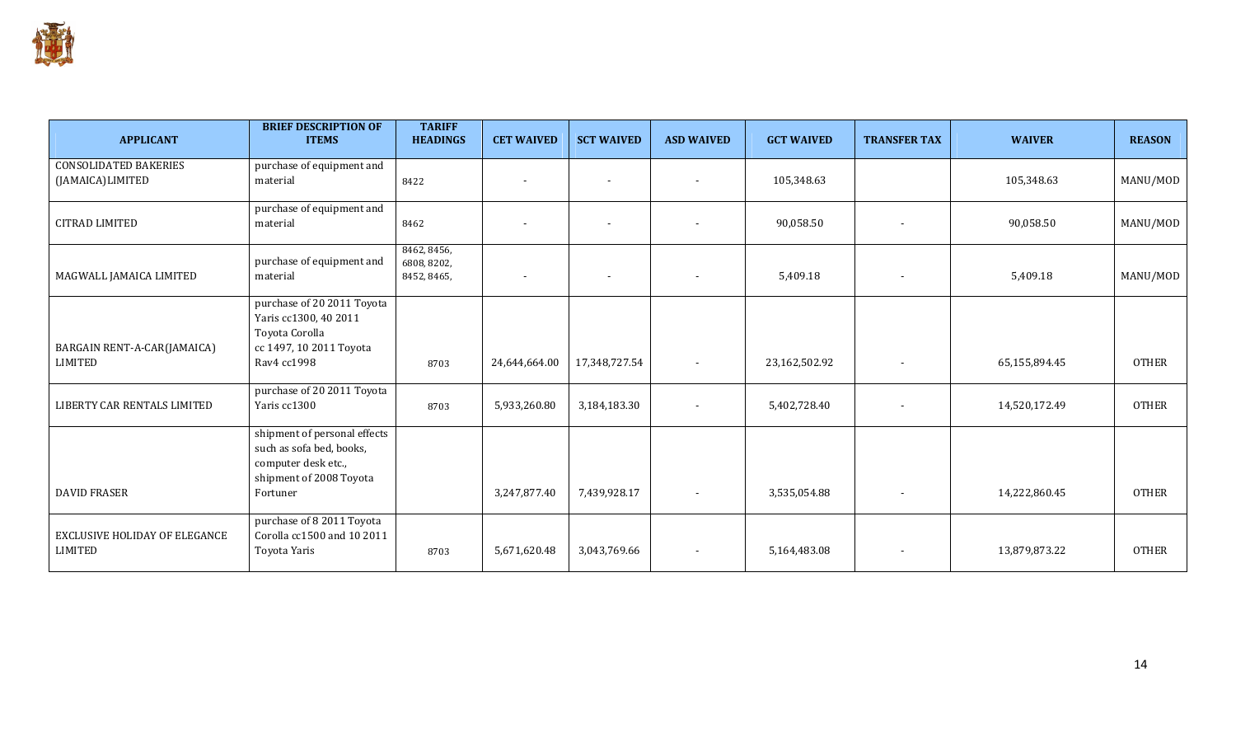

| <b>APPLICANT</b>                                       | <b>BRIEF DESCRIPTION OF</b><br><b>ITEMS</b>                                                                | <b>TARIFF</b><br><b>HEADINGS</b>          | <b>CET WAIVED</b>        | <b>SCT WAIVED</b>        | <b>ASD WAIVED</b>        | <b>GCT WAIVED</b> | <b>TRANSFER TAX</b>      | <b>WAIVER</b> | <b>REASON</b> |
|--------------------------------------------------------|------------------------------------------------------------------------------------------------------------|-------------------------------------------|--------------------------|--------------------------|--------------------------|-------------------|--------------------------|---------------|---------------|
| <b>CONSOLIDATED BAKERIES</b><br>(JAMAICA)LIMITED       | purchase of equipment and<br>material                                                                      | 8422                                      | $\overline{\phantom{a}}$ | $\overline{\phantom{a}}$ | $\overline{\phantom{a}}$ | 105,348.63        |                          | 105,348.63    | MANU/MOD      |
| <b>CITRAD LIMITED</b>                                  | purchase of equipment and<br>material                                                                      | 8462                                      |                          |                          | $\overline{\phantom{a}}$ | 90,058.50         |                          | 90,058.50     | MANU/MOD      |
| MAGWALL JAMAICA LIMITED                                | purchase of equipment and<br>material                                                                      | 8462, 8456,<br>6808, 8202,<br>8452, 8465, | $\overline{\phantom{a}}$ |                          | $\overline{\phantom{a}}$ | 5,409.18          |                          | 5,409.18      | MANU/MOD      |
| BARGAIN RENT-A-CAR(JAMAICA)                            | purchase of 20 2011 Toyota<br>Yaris cc1300, 40 2011<br>Toyota Corolla<br>cc 1497, 10 2011 Toyota           |                                           |                          |                          |                          |                   |                          |               |               |
| <b>LIMITED</b>                                         | Rav4 cc1998                                                                                                | 8703                                      | 24,644,664.00            | 17,348,727.54            | $\sim$                   | 23,162,502.92     |                          | 65,155,894.45 | <b>OTHER</b>  |
| LIBERTY CAR RENTALS LIMITED                            | purchase of 20 2011 Toyota<br>Yaris cc1300                                                                 | 8703                                      | 5,933,260.80             | 3,184,183.30             | $\sim$                   | 5,402,728.40      |                          | 14,520,172.49 | <b>OTHER</b>  |
|                                                        | shipment of personal effects<br>such as sofa bed, books,<br>computer desk etc.,<br>shipment of 2008 Toyota |                                           |                          |                          |                          |                   |                          |               |               |
| <b>DAVID FRASER</b>                                    | Fortuner                                                                                                   |                                           | 3,247,877.40             | 7,439,928.17             | $\overline{\phantom{a}}$ | 3,535,054.88      |                          | 14,222,860.45 | <b>OTHER</b>  |
| <b>EXCLUSIVE HOLIDAY OF ELEGANCE</b><br><b>LIMITED</b> | purchase of 8 2011 Toyota<br>Corolla cc1500 and 10 2011<br>Toyota Yaris                                    | 8703                                      | 5,671,620.48             | 3,043,769.66             | $\overline{\phantom{a}}$ | 5,164,483.08      | $\overline{\phantom{a}}$ | 13,879,873.22 | <b>OTHER</b>  |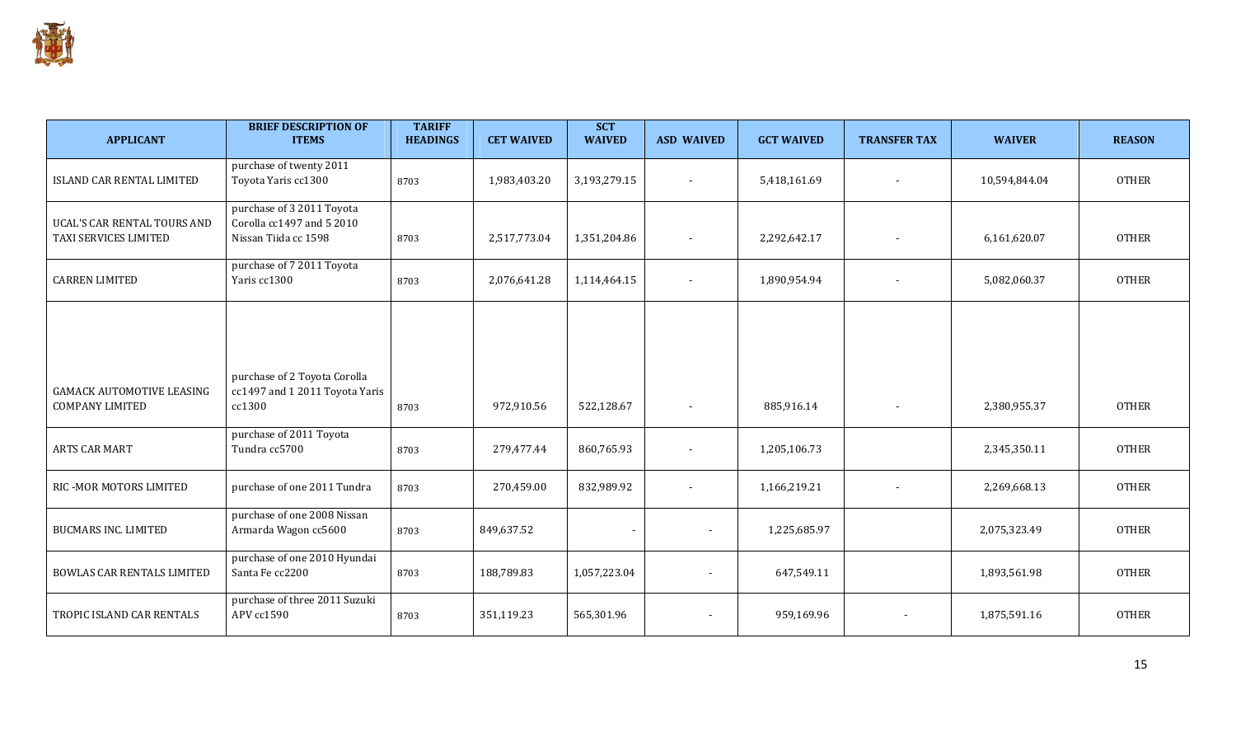

| <b>APPLICANT</b>                                           | <b>BRIEF DESCRIPTION OF</b><br><b>ITEMS</b>                                    | <b>TARIFF</b><br><b>HEADINGS</b> | <b>CET WAIVED</b> | <b>SCT</b><br><b>WAIVED</b> | <b>ASD WAIVED</b>        | <b>GCT WAIVED</b> | <b>TRANSFER TAX</b>      | <b>WAIVER</b> | <b>REASON</b> |
|------------------------------------------------------------|--------------------------------------------------------------------------------|----------------------------------|-------------------|-----------------------------|--------------------------|-------------------|--------------------------|---------------|---------------|
| ISLAND CAR RENTAL LIMITED                                  | purchase of twenty 2011<br>Toyota Yaris cc1300                                 | 8703                             | 1,983,403.20      | 3,193,279.15                |                          | 5,418,161.69      |                          | 10,594,844.04 | <b>OTHER</b>  |
| UCAL'S CAR RENTAL TOURS AND<br>TAXI SERVICES LIMITED       | purchase of 3 2011 Toyota<br>Corolla cc1497 and 5 2010<br>Nissan Tiida cc 1598 | 8703                             | 2,517,773.04      | 1,351,204.86                |                          | 2,292,642.17      |                          | 6,161,620.07  | <b>OTHER</b>  |
| <b>CARREN LIMITED</b>                                      | purchase of 7 2011 Toyota<br>Yaris cc1300                                      | 8703                             | 2,076,641.28      | 1,114,464.15                |                          | 1,890,954.94      |                          | 5,082,060.37  | <b>OTHER</b>  |
|                                                            |                                                                                |                                  |                   |                             |                          |                   |                          |               |               |
| <b>GAMACK AUTOMOTIVE LEASING</b><br><b>COMPANY LIMITED</b> | purchase of 2 Toyota Corolla<br>cc1497 and 1 2011 Toyota Yaris<br>cc1300       | 8703                             | 972,910.56        | 522,128.67                  | $\sim$                   | 885,916.14        | $\overline{\phantom{a}}$ | 2,380,955.37  | <b>OTHER</b>  |
| ARTS CAR MART                                              | purchase of 2011 Toyota<br>Tundra cc5700                                       | 8703                             | 279,477.44        | 860,765.93                  | $\overline{\phantom{a}}$ | 1,205,106.73      |                          | 2,345,350.11  | <b>OTHER</b>  |
| RIC - MOR MOTORS LIMITED                                   | purchase of one 2011 Tundra                                                    | 8703                             | 270,459.00        | 832,989.92                  | $\overline{\phantom{a}}$ | 1,166,219.21      |                          | 2,269,668.13  | <b>OTHER</b>  |
| <b>BUCMARS INC. LIMITED</b>                                | purchase of one 2008 Nissan<br>Armarda Wagon cc5600                            | 8703                             | 849,637.52        | $\overline{\phantom{a}}$    | $\blacksquare$           | 1,225,685.97      |                          | 2,075,323.49  | <b>OTHER</b>  |
| <b>BOWLAS CAR RENTALS LIMITED</b>                          | purchase of one 2010 Hyundai<br>Santa Fe cc2200                                | 8703                             | 188,789.83        | 1,057,223.04                | $\overline{\phantom{a}}$ | 647,549.11        |                          | 1,893,561.98  | <b>OTHER</b>  |
| TROPIC ISLAND CAR RENTALS                                  | purchase of three 2011 Suzuki<br>APV cc1590                                    | 8703                             | 351,119.23        | 565,301.96                  | $\overline{\phantom{a}}$ | 959,169.96        |                          | 1,875,591.16  | <b>OTHER</b>  |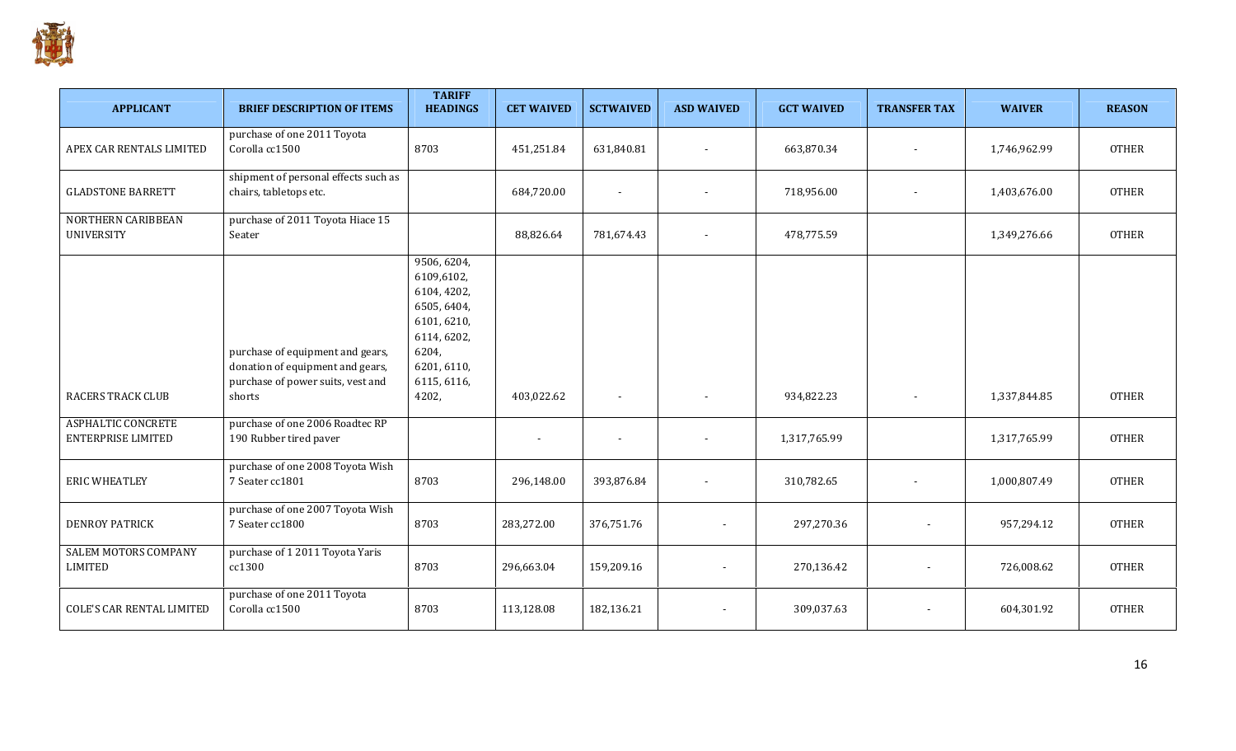

| <b>APPLICANT</b>                                       | <b>BRIEF DESCRIPTION OF ITEMS</b>                                                                                   | <b>TARIFF</b><br><b>HEADINGS</b>                                                                                                      | <b>CET WAIVED</b> | <b>SCTWAIVED</b>         | <b>ASD WAIVED</b>        | <b>GCT WAIVED</b> | <b>TRANSFER TAX</b>      | <b>WAIVER</b> | <b>REASON</b> |
|--------------------------------------------------------|---------------------------------------------------------------------------------------------------------------------|---------------------------------------------------------------------------------------------------------------------------------------|-------------------|--------------------------|--------------------------|-------------------|--------------------------|---------------|---------------|
| APEX CAR RENTALS LIMITED                               | purchase of one 2011 Toyota<br>Corolla cc1500                                                                       | 8703                                                                                                                                  | 451,251.84        | 631,840.81               | $\blacksquare$           | 663,870.34        | $\blacksquare$           | 1,746,962.99  | <b>OTHER</b>  |
| <b>GLADSTONE BARRETT</b>                               | shipment of personal effects such as<br>chairs, tabletops etc.                                                      |                                                                                                                                       | 684,720.00        |                          |                          | 718,956.00        | $\overline{\phantom{a}}$ | 1,403,676.00  | <b>OTHER</b>  |
| NORTHERN CARIBBEAN<br><b>UNIVERSITY</b>                | purchase of 2011 Toyota Hiace 15<br>Seater                                                                          |                                                                                                                                       | 88,826.64         | 781,674.43               |                          | 478,775.59        |                          | 1,349,276.66  | <b>OTHER</b>  |
| <b>RACERS TRACK CLUB</b>                               | purchase of equipment and gears,<br>donation of equipment and gears,<br>purchase of power suits, vest and<br>shorts | 9506, 6204,<br>6109,6102,<br>6104, 4202,<br>6505, 6404,<br>6101, 6210,<br>6114, 6202,<br>6204,<br>6201, 6110,<br>6115, 6116,<br>4202, | 403,022.62        | $\overline{\phantom{a}}$ | $\overline{\phantom{a}}$ | 934,822.23        | $\blacksquare$           | 1,337,844.85  | <b>OTHER</b>  |
| <b>ASPHALTIC CONCRETE</b><br><b>ENTERPRISE LIMITED</b> | purchase of one 2006 Roadtec RP<br>190 Rubber tired paver                                                           |                                                                                                                                       |                   |                          | $\overline{\phantom{a}}$ | 1,317,765.99      |                          | 1,317,765.99  | <b>OTHER</b>  |
| <b>ERIC WHEATLEY</b>                                   | purchase of one 2008 Toyota Wish<br>7 Seater cc1801                                                                 | 8703                                                                                                                                  | 296,148.00        | 393,876.84               |                          | 310,782.65        | $\overline{\phantom{a}}$ | 1,000,807.49  | <b>OTHER</b>  |
| <b>DENROY PATRICK</b>                                  | purchase of one 2007 Toyota Wish<br>7 Seater cc1800                                                                 | 8703                                                                                                                                  | 283,272.00        | 376,751.76               | $\overline{\phantom{a}}$ | 297,270.36        |                          | 957,294.12    | <b>OTHER</b>  |
| <b>SALEM MOTORS COMPANY</b><br>LIMITED                 | purchase of 1 2011 Toyota Yaris<br>cc1300                                                                           | 8703                                                                                                                                  | 296,663.04        | 159,209.16               |                          | 270,136.42        |                          | 726,008.62    | <b>OTHER</b>  |
| <b>COLE'S CAR RENTAL LIMITED</b>                       | purchase of one 2011 Toyota<br>Corolla cc1500                                                                       | 8703                                                                                                                                  | 113,128.08        | 182,136.21               |                          | 309,037.63        |                          | 604,301.92    | <b>OTHER</b>  |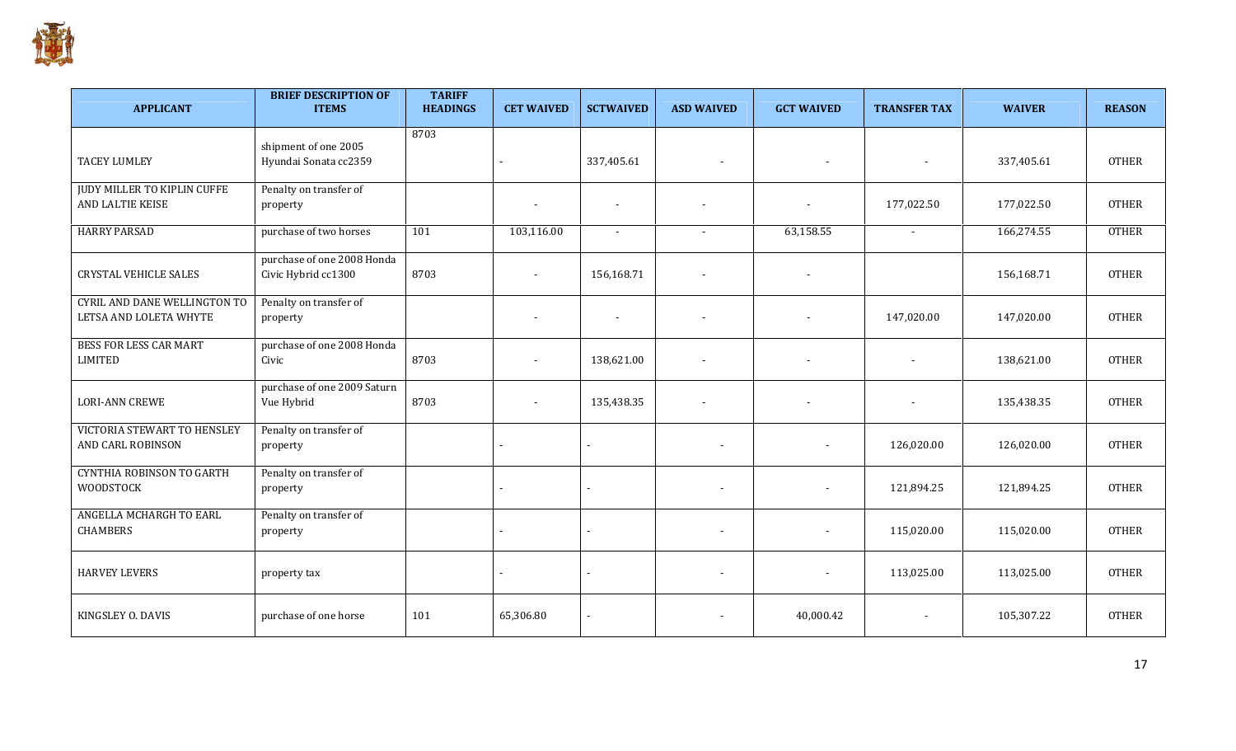

| <b>APPLICANT</b>                                       | <b>BRIEF DESCRIPTION OF</b><br><b>ITEMS</b>       | <b>TARIFF</b><br><b>HEADINGS</b> | <b>CET WAIVED</b> | <b>SCTWAIVED</b>         | <b>ASD WAIVED</b>        | <b>GCT WAIVED</b>        | <b>TRANSFER TAX</b> | <b>WAIVER</b> | <b>REASON</b> |
|--------------------------------------------------------|---------------------------------------------------|----------------------------------|-------------------|--------------------------|--------------------------|--------------------------|---------------------|---------------|---------------|
| <b>TACEY LUMLEY</b>                                    | shipment of one 2005<br>Hyundai Sonata cc2359     | 8703                             |                   | 337,405.61               | $\overline{\phantom{a}}$ |                          |                     | 337,405.61    | <b>OTHER</b>  |
| <b>JUDY MILLER TO KIPLIN CUFFE</b><br>AND LALTIE KEISE | Penalty on transfer of<br>property                |                                  |                   | $\overline{\phantom{a}}$ |                          |                          | 177,022.50          | 177,022.50    | <b>OTHER</b>  |
| <b>HARRY PARSAD</b>                                    | purchase of two horses                            | 101                              | 103,116.00        | $\blacksquare$           |                          | 63,158.55                | $\sim$              | 166,274.55    | <b>OTHER</b>  |
| <b>CRYSTAL VEHICLE SALES</b>                           | purchase of one 2008 Honda<br>Civic Hybrid cc1300 | 8703                             | $\blacksquare$    | 156,168.71               | $\overline{\phantom{a}}$ | $\sim$                   |                     | 156,168.71    | <b>OTHER</b>  |
| CYRIL AND DANE WELLINGTON TO<br>LETSA AND LOLETA WHYTE | Penalty on transfer of<br>property                |                                  | $\blacksquare$    | $\blacksquare$           | $\overline{\phantom{a}}$ | $\blacksquare$           | 147,020.00          | 147,020.00    | <b>OTHER</b>  |
| <b>BESS FOR LESS CAR MART</b><br><b>LIMITED</b>        | purchase of one 2008 Honda<br>Civic               | 8703                             | $\overline{a}$    | 138,621.00               |                          |                          |                     | 138,621.00    | <b>OTHER</b>  |
| <b>LORI-ANN CREWE</b>                                  | purchase of one 2009 Saturn<br>Vue Hybrid         | 8703                             |                   | 135,438.35               |                          |                          |                     | 135,438.35    | <b>OTHER</b>  |
| VICTORIA STEWART TO HENSLEY<br>AND CARL ROBINSON       | Penalty on transfer of<br>property                |                                  |                   |                          | $\overline{\phantom{a}}$ | $\overline{\phantom{a}}$ | 126,020.00          | 126,020.00    | <b>OTHER</b>  |
| <b>CYNTHIA ROBINSON TO GARTH</b><br><b>WOODSTOCK</b>   | Penalty on transfer of<br>property                |                                  |                   |                          | $\blacksquare$           | $\blacksquare$           | 121,894.25          | 121,894.25    | <b>OTHER</b>  |
| ANGELLA MCHARGH TO EARL<br><b>CHAMBERS</b>             | Penalty on transfer of<br>property                |                                  |                   |                          | $\overline{\phantom{a}}$ | -                        | 115,020.00          | 115,020.00    | <b>OTHER</b>  |
| <b>HARVEY LEVERS</b>                                   | property tax                                      |                                  |                   | $\overline{\phantom{a}}$ | $\blacksquare$           | $\overline{\phantom{a}}$ | 113,025.00          | 113,025.00    | <b>OTHER</b>  |
| KINGSLEY O. DAVIS                                      | purchase of one horse                             | 101                              | 65,306.80         |                          |                          | 40,000.42                |                     | 105,307.22    | <b>OTHER</b>  |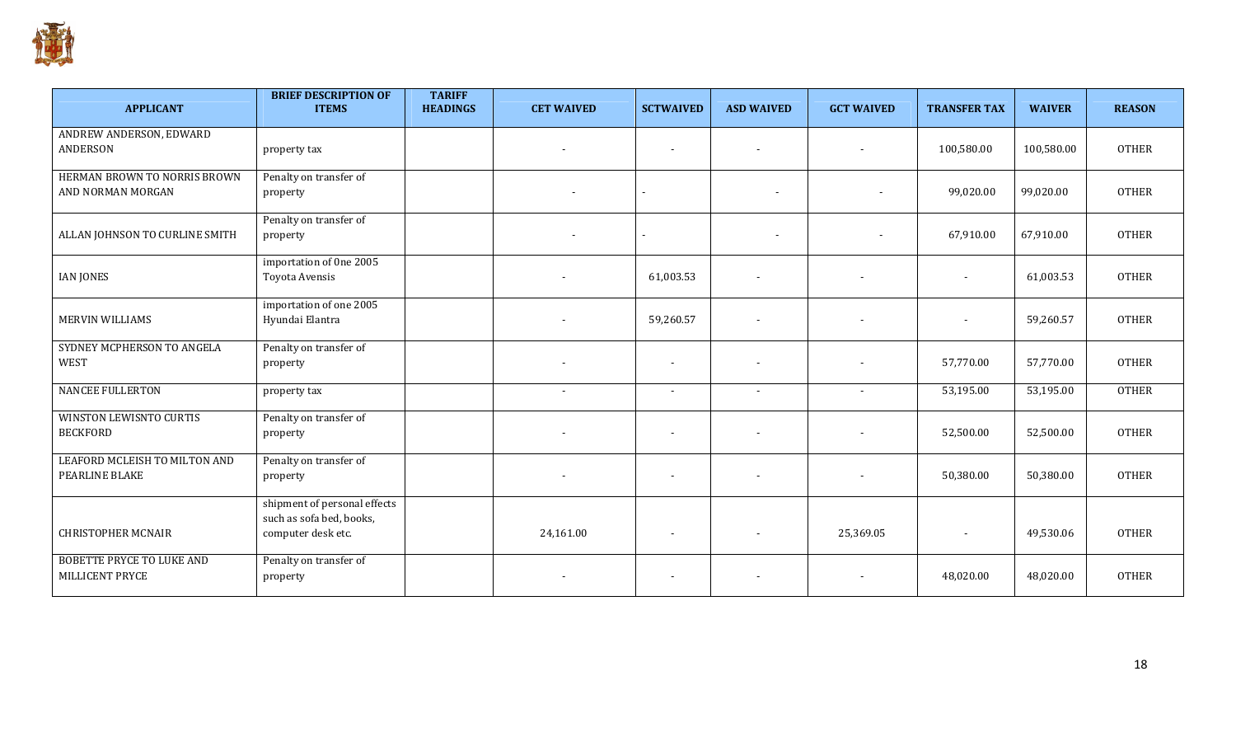

| <b>APPLICANT</b>                                    | <b>BRIEF DESCRIPTION OF</b><br><b>ITEMS</b>                                    | <b>TARIFF</b><br><b>HEADINGS</b> | <b>CET WAIVED</b>        | <b>SCTWAIVED</b>         | <b>ASD WAIVED</b>        | <b>GCT WAIVED</b>        | <b>TRANSFER TAX</b>      | <b>WAIVER</b> | <b>REASON</b> |
|-----------------------------------------------------|--------------------------------------------------------------------------------|----------------------------------|--------------------------|--------------------------|--------------------------|--------------------------|--------------------------|---------------|---------------|
| ANDREW ANDERSON, EDWARD<br><b>ANDERSON</b>          | property tax                                                                   |                                  | $\overline{\phantom{a}}$ | $\overline{\phantom{a}}$ | $\overline{\phantom{a}}$ |                          | 100,580.00               | 100,580.00    | <b>OTHER</b>  |
| HERMAN BROWN TO NORRIS BROWN<br>AND NORMAN MORGAN   | Penalty on transfer of<br>property                                             |                                  | $\overline{\phantom{a}}$ |                          | $\blacksquare$           |                          | 99,020.00                | 99,020.00     | <b>OTHER</b>  |
| ALLAN JOHNSON TO CURLINE SMITH                      | Penalty on transfer of<br>property                                             |                                  | $\sim$                   | $\sim$                   | $\blacksquare$           |                          | 67,910.00                | 67,910.00     | <b>OTHER</b>  |
| <b>IAN JONES</b>                                    | importation of 0ne 2005<br>Toyota Avensis                                      |                                  |                          | 61,003.53                | $\overline{\phantom{a}}$ | $\overline{\phantom{a}}$ | $\overline{a}$           | 61,003.53     | <b>OTHER</b>  |
| MERVIN WILLIAMS                                     | importation of one 2005<br>Hyundai Elantra                                     |                                  |                          | 59,260.57                |                          |                          |                          | 59,260.57     | <b>OTHER</b>  |
| SYDNEY MCPHERSON TO ANGELA<br><b>WEST</b>           | Penalty on transfer of<br>property                                             |                                  |                          |                          |                          |                          | 57,770.00                | 57,770.00     | <b>OTHER</b>  |
| <b>NANCEE FULLERTON</b>                             | property tax                                                                   |                                  | $\sim$                   | $\overline{\phantom{a}}$ | $\blacksquare$           | $\sim$                   | 53,195.00                | 53,195.00     | <b>OTHER</b>  |
| WINSTON LEWISNTO CURTIS<br><b>BECKFORD</b>          | Penalty on transfer of<br>property                                             |                                  |                          | $\overline{\phantom{a}}$ |                          |                          | 52,500.00                | 52,500.00     | <b>OTHER</b>  |
| LEAFORD MCLEISH TO MILTON AND<br>PEARLINE BLAKE     | Penalty on transfer of<br>property                                             |                                  | $\overline{\phantom{a}}$ | $\sim$                   |                          |                          | 50,380.00                | 50,380.00     | <b>OTHER</b>  |
| <b>CHRISTOPHER MCNAIR</b>                           | shipment of personal effects<br>such as sofa bed, books,<br>computer desk etc. |                                  | 24,161.00                | $\sim$                   | $\overline{\phantom{a}}$ | 25,369.05                | $\overline{\phantom{a}}$ | 49,530.06     | <b>OTHER</b>  |
| <b>BOBETTE PRYCE TO LUKE AND</b><br>MILLICENT PRYCE | Penalty on transfer of<br>property                                             |                                  |                          |                          |                          |                          | 48.020.00                | 48,020.00     | <b>OTHER</b>  |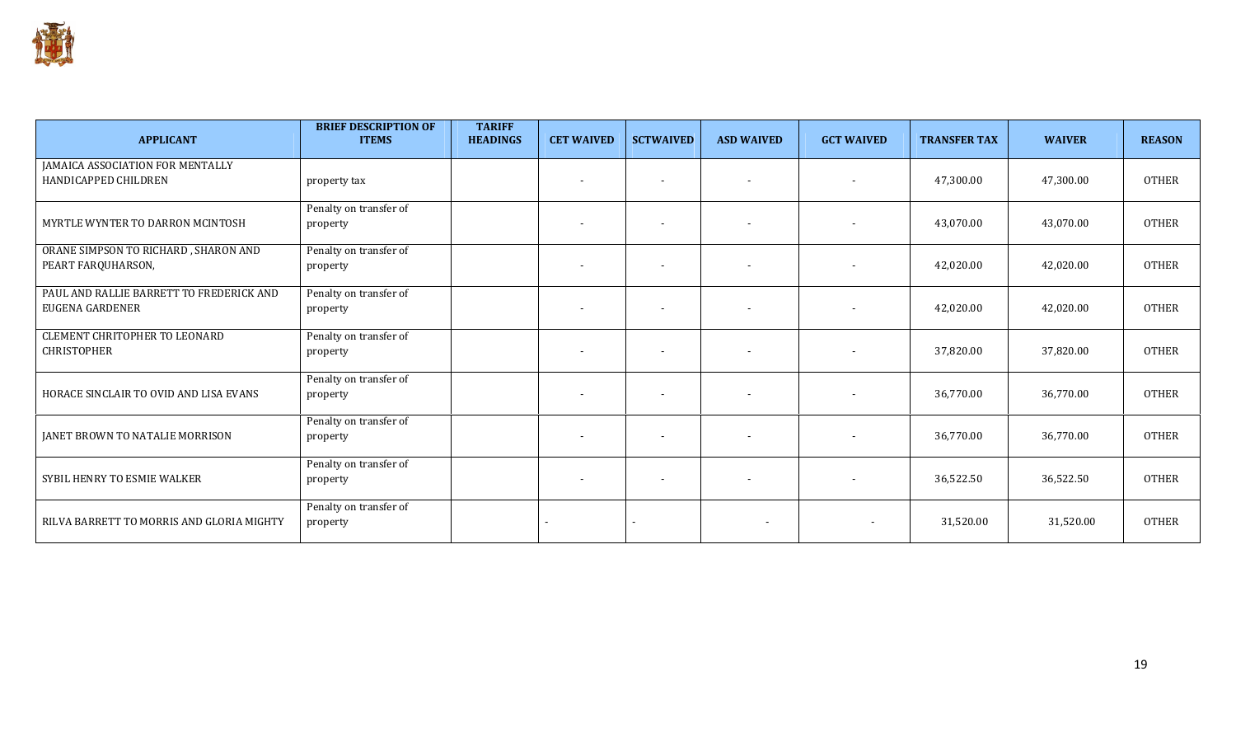

| <b>APPLICANT</b>                                                   | <b>BRIEF DESCRIPTION OF</b><br><b>ITEMS</b> | <b>TARIFF</b><br><b>HEADINGS</b> | <b>CET WAIVED</b>        | <b>SCTWAIVED</b>         | <b>ASD WAIVED</b> | <b>GCT WAIVED</b>        | <b>TRANSFER TAX</b> | <b>WAIVER</b> | <b>REASON</b> |
|--------------------------------------------------------------------|---------------------------------------------|----------------------------------|--------------------------|--------------------------|-------------------|--------------------------|---------------------|---------------|---------------|
| JAMAICA ASSOCIATION FOR MENTALLY<br>HANDICAPPED CHILDREN           | property tax                                |                                  |                          |                          |                   | $\overline{\phantom{a}}$ | 47,300.00           | 47,300.00     | <b>OTHER</b>  |
| MYRTLE WYNTER TO DARRON MCINTOSH                                   | Penalty on transfer of<br>property          |                                  |                          |                          |                   | $\sim$                   | 43,070.00           | 43,070.00     | <b>OTHER</b>  |
| ORANE SIMPSON TO RICHARD, SHARON AND<br>PEART FARQUHARSON,         | Penalty on transfer of<br>property          |                                  | $\overline{\phantom{a}}$ | $\overline{\phantom{a}}$ |                   | $\sim$                   | 42,020.00           | 42,020.00     | <b>OTHER</b>  |
| PAUL AND RALLIE BARRETT TO FREDERICK AND<br><b>EUGENA GARDENER</b> | Penalty on transfer of<br>property          |                                  |                          |                          |                   |                          | 42,020.00           | 42,020.00     | <b>OTHER</b>  |
| <b>CLEMENT CHRITOPHER TO LEONARD</b><br><b>CHRISTOPHER</b>         | Penalty on transfer of<br>property          |                                  |                          | $\overline{\phantom{a}}$ |                   | $\overline{\phantom{a}}$ | 37,820.00           | 37,820.00     | <b>OTHER</b>  |
| HORACE SINCLAIR TO OVID AND LISA EVANS                             | Penalty on transfer of<br>property          |                                  |                          |                          |                   |                          | 36,770.00           | 36,770.00     | <b>OTHER</b>  |
| <b>JANET BROWN TO NATALIE MORRISON</b>                             | Penalty on transfer of<br>property          |                                  |                          |                          |                   | $\sim$                   | 36,770.00           | 36,770.00     | <b>OTHER</b>  |
| SYBIL HENRY TO ESMIE WALKER                                        | Penalty on transfer of<br>property          |                                  | $\sim$                   | $\overline{\phantom{a}}$ |                   | $\sim$                   | 36,522.50           | 36,522.50     | <b>OTHER</b>  |
| RILVA BARRETT TO MORRIS AND GLORIA MIGHTY                          | Penalty on transfer of<br>property          |                                  |                          |                          |                   | $\overline{\phantom{a}}$ | 31,520.00           | 31,520.00     | <b>OTHER</b>  |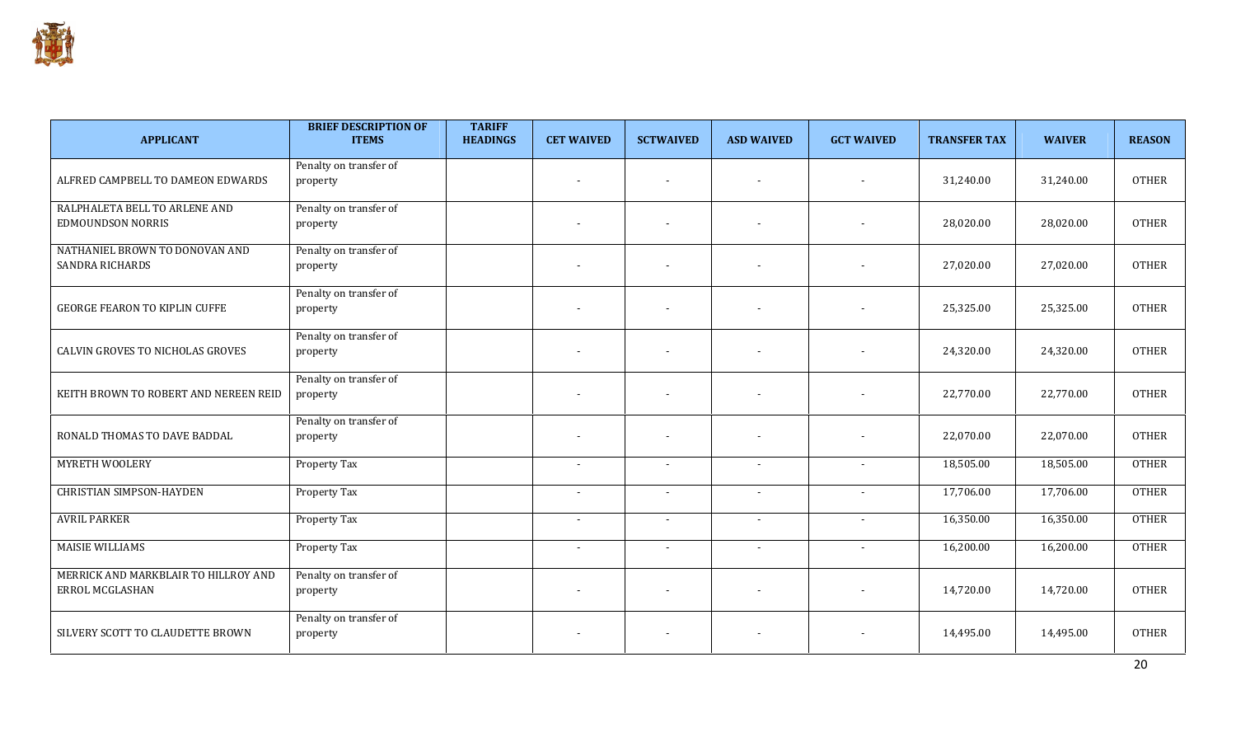

| <b>APPLICANT</b>                                          | <b>BRIEF DESCRIPTION OF</b><br><b>ITEMS</b> | <b>TARIFF</b><br><b>HEADINGS</b> | <b>CET WAIVED</b>        | <b>SCTWAIVED</b>         | <b>ASD WAIVED</b>        | <b>GCT WAIVED</b>        | <b>TRANSFER TAX</b> | <b>WAIVER</b> | <b>REASON</b> |
|-----------------------------------------------------------|---------------------------------------------|----------------------------------|--------------------------|--------------------------|--------------------------|--------------------------|---------------------|---------------|---------------|
| ALFRED CAMPBELL TO DAMEON EDWARDS                         | Penalty on transfer of<br>property          |                                  | $\blacksquare$           | $\sim$                   | $\sim$                   | $\overline{\phantom{a}}$ | 31,240.00           | 31,240.00     | <b>OTHER</b>  |
| RALPHALETA BELL TO ARLENE AND<br><b>EDMOUNDSON NORRIS</b> | Penalty on transfer of<br>property          |                                  | $\blacksquare$           | $\overline{\phantom{a}}$ | $\overline{\phantom{a}}$ | $\overline{\phantom{a}}$ | 28,020.00           | 28,020.00     | <b>OTHER</b>  |
| NATHANIEL BROWN TO DONOVAN AND<br>SANDRA RICHARDS         | Penalty on transfer of<br>property          |                                  | $\blacksquare$           | $\overline{\phantom{a}}$ | $\blacksquare$           | $\overline{\phantom{a}}$ | 27,020.00           | 27,020.00     | <b>OTHER</b>  |
| <b>GEORGE FEARON TO KIPLIN CUFFE</b>                      | Penalty on transfer of<br>property          |                                  | $\overline{\phantom{a}}$ | $\overline{\phantom{a}}$ | $\overline{\phantom{a}}$ | $\sim$                   | 25,325.00           | 25,325.00     | <b>OTHER</b>  |
| CALVIN GROVES TO NICHOLAS GROVES                          | Penalty on transfer of<br>property          |                                  | $\blacksquare$           | $\overline{\phantom{a}}$ | $\overline{\phantom{a}}$ | $\sim$                   | 24,320.00           | 24,320.00     | <b>OTHER</b>  |
| KEITH BROWN TO ROBERT AND NEREEN REID                     | Penalty on transfer of<br>property          |                                  | $\overline{\phantom{a}}$ | $\sim$                   | $\overline{\phantom{a}}$ | $\sim$                   | 22,770.00           | 22,770.00     | <b>OTHER</b>  |
| RONALD THOMAS TO DAVE BADDAL                              | Penalty on transfer of<br>property          |                                  | $\blacksquare$           | $\overline{\phantom{a}}$ | $\overline{\phantom{a}}$ |                          | 22,070.00           | 22,070.00     | <b>OTHER</b>  |
| MYRETH WOOLERY                                            | Property Tax                                |                                  | $\overline{\phantom{a}}$ | $\sim$                   | $\blacksquare$           | $\overline{\phantom{a}}$ | 18,505.00           | 18,505.00     | <b>OTHER</b>  |
| <b>CHRISTIAN SIMPSON-HAYDEN</b>                           | Property Tax                                |                                  | $\blacksquare$           | $\overline{\phantom{a}}$ | $\blacksquare$           | $\overline{\phantom{a}}$ | 17,706.00           | 17,706.00     | <b>OTHER</b>  |
| <b>AVRIL PARKER</b>                                       | <b>Property Tax</b>                         |                                  | $\overline{a}$           | $\overline{\phantom{a}}$ | $\sim$                   |                          | 16,350.00           | 16,350.00     | <b>OTHER</b>  |
| <b>MAISIE WILLIAMS</b>                                    | Property Tax                                |                                  | $\blacksquare$           | $\sim$                   | $\blacksquare$           |                          | 16,200.00           | 16,200.00     | <b>OTHER</b>  |
| MERRICK AND MARKBLAIR TO HILLROY AND<br>ERROL MCGLASHAN   | Penalty on transfer of<br>property          |                                  | $\overline{\phantom{a}}$ | $\overline{\phantom{a}}$ | $\blacksquare$           | $\overline{\phantom{a}}$ | 14,720.00           | 14,720.00     | <b>OTHER</b>  |
| SILVERY SCOTT TO CLAUDETTE BROWN                          | Penalty on transfer of<br>property          |                                  | $\overline{\phantom{a}}$ | $\overline{\phantom{a}}$ | $\overline{\phantom{a}}$ | $\overline{\phantom{a}}$ | 14,495.00           | 14,495.00     | <b>OTHER</b>  |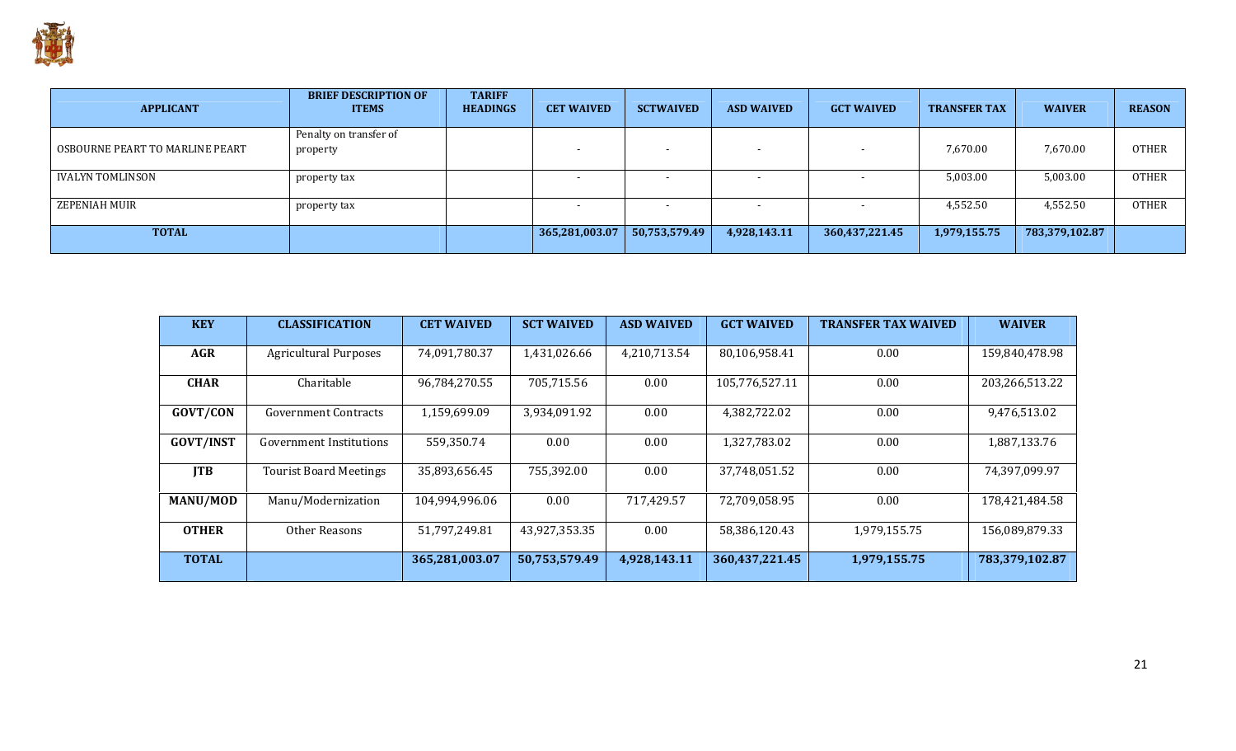

| <b>APPLICANT</b>                | <b>BRIEF DESCRIPTION OF</b><br><b>ITEMS</b> | <b>TARIFF</b><br><b>HEADINGS</b> | <b>CET WAIVED</b> | <b>SCTWAIVED</b> | <b>ASD WAIVED</b> | <b>GCT WAIVED</b>        | <b>TRANSFER TAX</b> | <b>WAIVER</b>  | <b>REASON</b> |
|---------------------------------|---------------------------------------------|----------------------------------|-------------------|------------------|-------------------|--------------------------|---------------------|----------------|---------------|
| OSBOURNE PEART TO MARLINE PEART | Penalty on transfer of<br>property          |                                  |                   |                  |                   | $\overline{\phantom{0}}$ | 7,670.00            | 7,670.00       | OTHER         |
| IVALYN TOMLINSON                | property tax                                |                                  |                   |                  |                   | $\overline{\phantom{0}}$ | 5,003.00            | 5,003.00       | <b>OTHER</b>  |
| ZEPENIAH MUIR                   | property tax                                |                                  |                   |                  |                   | $\blacksquare$           | 4,552.50            | 4,552.50       | <b>OTHER</b>  |
| <b>TOTAL</b>                    |                                             |                                  | 365,281,003.07    | 50,753,579.49    | 4,928,143.11      | 360,437,221.45           | 1,979,155.75        | 783,379,102.87 |               |

| <b>KEY</b>       | <b>CLASSIFICATION</b>         | <b>CET WAIVED</b> | <b>SCT WAIVED</b> | <b>ASD WAIVED</b> | <b>GCT WAIVED</b> | <b>TRANSFER TAX WAIVED</b> | <b>WAIVER</b>  |
|------------------|-------------------------------|-------------------|-------------------|-------------------|-------------------|----------------------------|----------------|
| <b>AGR</b>       | <b>Agricultural Purposes</b>  | 74,091,780.37     | 1,431,026.66      | 4,210,713.54      | 80,106,958.41     | 0.00                       | 159,840,478.98 |
| <b>CHAR</b>      | Charitable                    | 96,784,270.55     | 705,715.56        | 0.00              | 105,776,527.11    | 0.00                       | 203,266,513.22 |
| GOVT/CON         | <b>Government Contracts</b>   | 1,159,699.09      | 3,934,091.92      | 0.00              | 4,382,722.02      | 0.00                       | 9,476,513.02   |
| <b>GOVT/INST</b> | Government Institutions       | 559,350.74        | 0.00              | 0.00              | 1,327,783.02      | 0.00                       | 1,887,133.76   |
| <b>ITB</b>       | <b>Tourist Board Meetings</b> | 35,893,656.45     | 755,392.00        | 0.00              | 37.748.051.52     | 0.00                       | 74,397,099.97  |
| <b>MANU/MOD</b>  | Manu/Modernization            | 104,994,996.06    | 0.00              | 717,429.57        | 72,709,058.95     | 0.00                       | 178,421,484.58 |
| <b>OTHER</b>     | Other Reasons                 | 51,797,249.81     | 43,927,353.35     | 0.00              | 58,386,120.43     | 1,979,155.75               | 156,089,879.33 |
| <b>TOTAL</b>     |                               | 365,281,003.07    | 50,753,579.49     | 4,928,143.11      | 360,437,221.45    | 1,979,155.75               | 783,379,102.87 |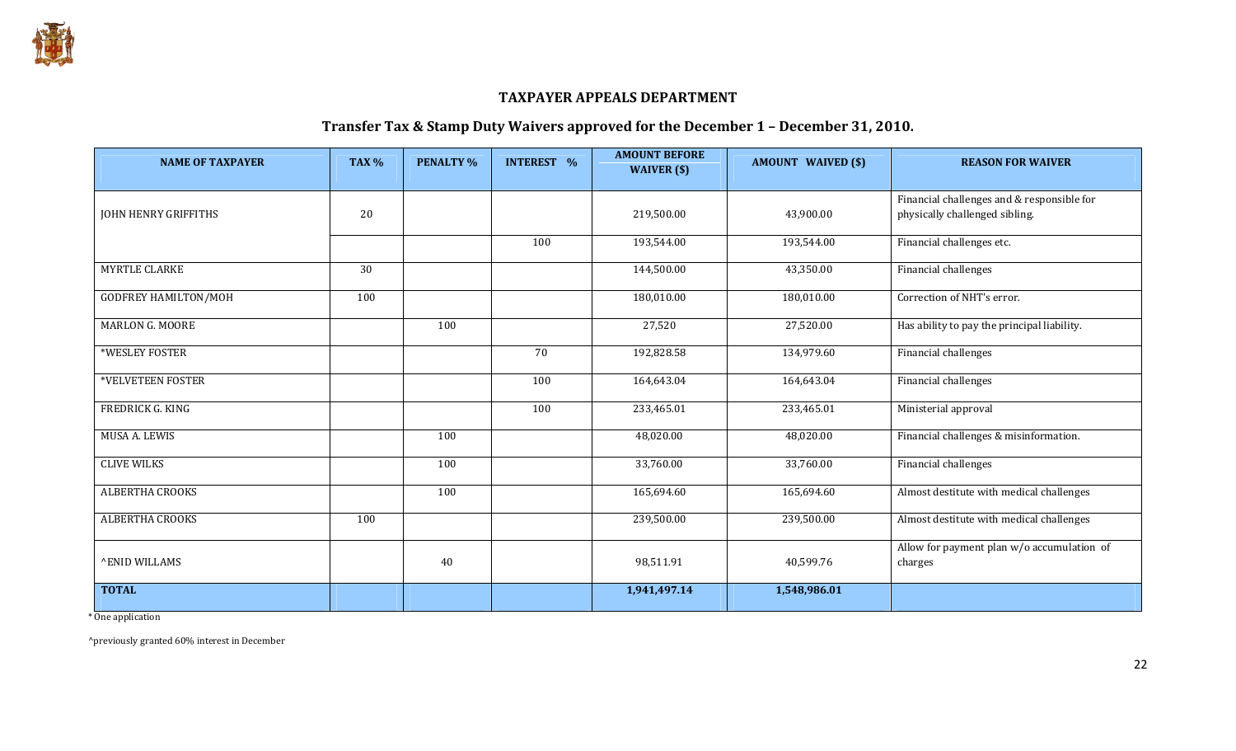

#### TAXPAYER APPEALS DEPARTMENT

#### Transfer Tax & Stamp Duty Waivers approved for the December 1 – December 31, 2010.

| <b>NAME OF TAXPAYER</b>     | TAX <sub>%</sub> | <b>PENALTY %</b> | <b>INTEREST %</b> | <b>AMOUNT BEFORE</b><br>WAIVER (\$) | <b>AMOUNT WAIVED (\$)</b> | <b>REASON FOR WAIVER</b>                                                     |
|-----------------------------|------------------|------------------|-------------------|-------------------------------------|---------------------------|------------------------------------------------------------------------------|
| JOHN HENRY GRIFFITHS        | 20               |                  |                   | 219,500.00                          | 43,900.00                 | Financial challenges and & responsible for<br>physically challenged sibling. |
|                             |                  |                  | 100               | 193,544.00                          | 193,544.00                | Financial challenges etc.                                                    |
| <b>MYRTLE CLARKE</b>        | 30               |                  |                   | 144,500.00                          | 43,350.00                 | Financial challenges                                                         |
| <b>GODFREY HAMILTON/MOH</b> | 100              |                  |                   | 180,010.00                          | 180,010.00                | Correction of NHT's error.                                                   |
| <b>MARLON G. MOORE</b>      |                  | 100              |                   | 27,520                              | 27,520.00                 | Has ability to pay the principal liability.                                  |
| *WESLEY FOSTER              |                  |                  | 70                | 192,828.58                          | 134,979.60                | Financial challenges                                                         |
| *VELVETEEN FOSTER           |                  |                  | 100               | 164,643.04                          | 164,643.04                | Financial challenges                                                         |
| FREDRICK G. KING            |                  |                  | 100               | 233,465.01                          | 233,465.01                | Ministerial approval                                                         |
| MUSA A. LEWIS               |                  | 100              |                   | 48,020.00                           | 48,020.00                 | Financial challenges & misinformation.                                       |
| <b>CLIVE WILKS</b>          |                  | 100              |                   | 33,760.00                           | 33,760.00                 | Financial challenges                                                         |
| <b>ALBERTHA CROOKS</b>      |                  | 100              |                   | 165,694.60                          | 165,694.60                | Almost destitute with medical challenges                                     |
| ALBERTHA CROOKS             | 100              |                  |                   | 239,500.00                          | 239,500.00                | Almost destitute with medical challenges                                     |
| <b>^ENID WILLAMS</b>        |                  | 40               |                   | 98,511.91                           | 40,599.76                 | Allow for payment plan w/o accumulation of<br>charges                        |
| <b>TOTAL</b>                |                  |                  |                   | 1,941,497.14                        | 1,548,986.01              |                                                                              |

\* One application

^previously granted 60% interest in December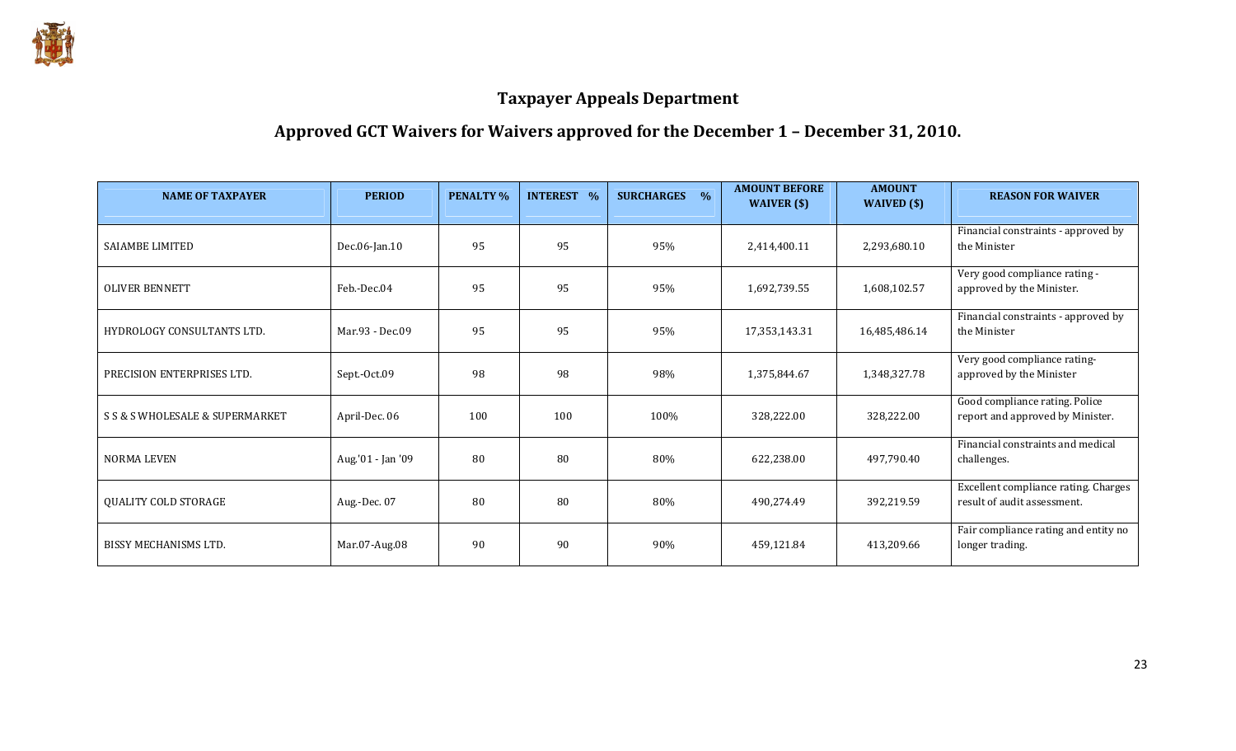

# Approved GCT Waivers for Waivers approved for the December 1 – December 31, 2010.

| <b>NAME OF TAXPAYER</b>         | <b>PERIOD</b>     | <b>PENALTY %</b> | <b>INTEREST %</b> | <b>SURCHARGES</b><br>$\frac{1}{2}$ | <b>AMOUNT BEFORE</b><br>WAIVER (\$) | <b>AMOUNT</b><br>WAIVED $(\$)$ | <b>REASON FOR WAIVER</b>                                            |
|---------------------------------|-------------------|------------------|-------------------|------------------------------------|-------------------------------------|--------------------------------|---------------------------------------------------------------------|
| <b>SAIAMBE LIMITED</b>          | Dec.06-Jan.10     | 95               | 95                | 95%                                | 2,414,400.11                        | 2,293,680.10                   | Financial constraints - approved by<br>the Minister                 |
| <b>OLIVER BENNETT</b>           | Feb.-Dec.04       | 95               | 95                | 95%                                | 1,692,739.55                        | 1,608,102.57                   | Very good compliance rating -<br>approved by the Minister.          |
| HYDROLOGY CONSULTANTS LTD.      | Mar.93 - Dec.09   | 95               | 95                | 95%                                | 17,353,143.31                       | 16,485,486.14                  | Financial constraints - approved by<br>the Minister                 |
| PRECISION ENTERPRISES LTD.      | Sept.-Oct.09      | 98               | 98                | 98%                                | 1,375,844.67                        | 1,348,327.78                   | Very good compliance rating-<br>approved by the Minister            |
| S S & S WHOLESALE & SUPERMARKET | April-Dec. 06     | 100              | 100               | 100%                               | 328,222.00                          | 328,222.00                     | Good compliance rating. Police<br>report and approved by Minister.  |
| <b>NORMA LEVEN</b>              | Aug.'01 - Jan '09 | 80               | 80                | 80%                                | 622,238.00                          | 497,790.40                     | Financial constraints and medical<br>challenges.                    |
| <b>QUALITY COLD STORAGE</b>     | Aug.-Dec. 07      | 80               | 80                | 80%                                | 490,274.49                          | 392,219.59                     | Excellent compliance rating. Charges<br>result of audit assessment. |
| <b>BISSY MECHANISMS LTD.</b>    | Mar.07-Aug.08     | 90               | 90                | 90%                                | 459,121.84                          | 413,209.66                     | Fair compliance rating and entity no<br>longer trading.             |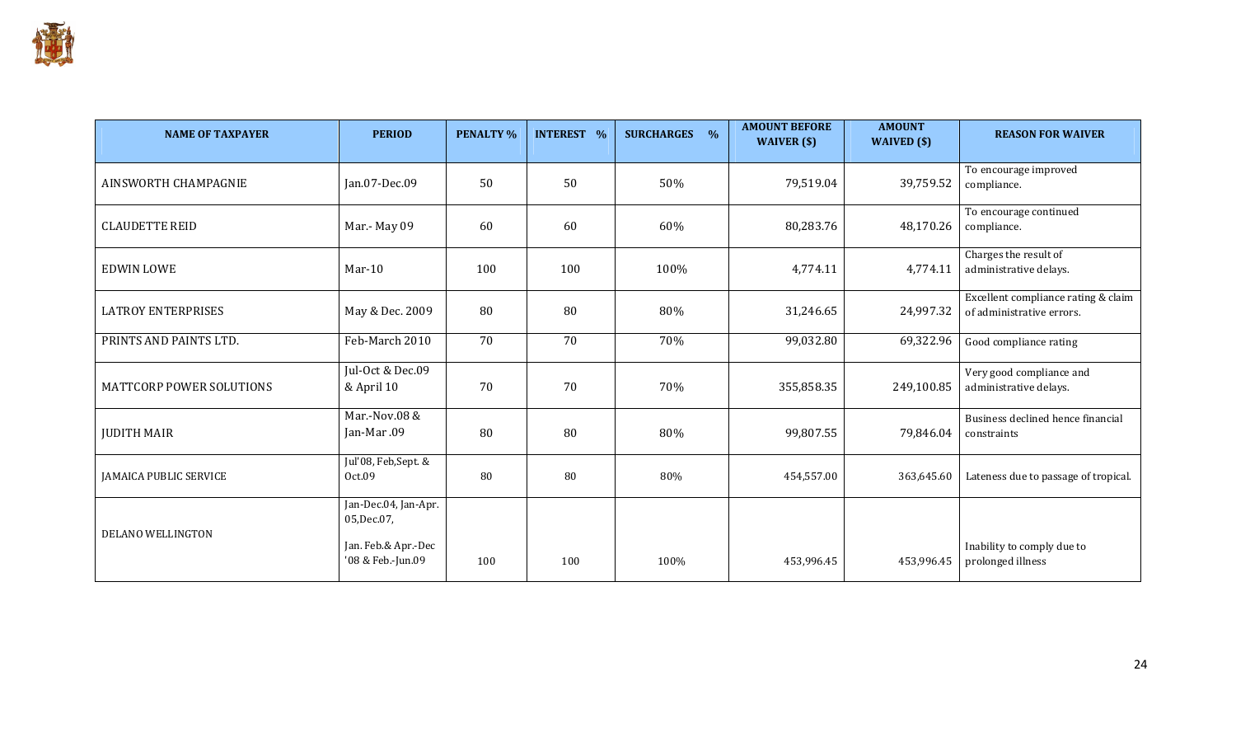

| <b>NAME OF TAXPAYER</b>         | <b>PERIOD</b>                            | <b>PENALTY %</b> | <b>INTEREST %</b> | <b>SURCHARGES %</b> | <b>AMOUNT BEFORE</b><br>WAIVER (\$) | <b>AMOUNT</b><br>WAIVED $(s)$ | <b>REASON FOR WAIVER</b>                                         |
|---------------------------------|------------------------------------------|------------------|-------------------|---------------------|-------------------------------------|-------------------------------|------------------------------------------------------------------|
| AINSWORTH CHAMPAGNIE            | Jan.07-Dec.09                            | 50               | 50                | 50%                 | 79,519.04                           | 39,759.52                     | To encourage improved<br>compliance.                             |
| <b>CLAUDETTE REID</b>           | Mar.- May 09                             | 60               | 60                | 60%                 | 80,283.76                           | 48,170.26                     | To encourage continued<br>compliance.                            |
| <b>EDWIN LOWE</b>               | $Mar-10$                                 | 100              | 100               | 100%                | 4,774.11                            | 4,774.11                      | Charges the result of<br>administrative delays.                  |
| <b>LATROY ENTERPRISES</b>       | May & Dec. 2009                          | 80               | 80                | 80%                 | 31,246.65                           | 24,997.32                     | Excellent compliance rating & claim<br>of administrative errors. |
| PRINTS AND PAINTS LTD.          | Feb-March 2010                           | 70               | 70                | 70%                 | 99,032.80                           | 69,322.96                     | Good compliance rating                                           |
| <b>MATTCORP POWER SOLUTIONS</b> | Jul-Oct & Dec.09<br>& April 10           | 70               | 70                | 70%                 | 355,858.35                          | 249,100.85                    | Very good compliance and<br>administrative delays.               |
| <b>JUDITH MAIR</b>              | Mar.-Nov.08 &<br>Jan-Mar.09              | 80               | 80                | 80%                 | 99,807.55                           | 79,846.04                     | Business declined hence financial<br>constraints                 |
| <b>JAMAICA PUBLIC SERVICE</b>   | Jul'08, Feb,Sept. &<br>Oct.09            | 80               | 80                | 80%                 | 454,557.00                          | 363,645.60                    | Lateness due to passage of tropical.                             |
| DELANO WELLINGTON               | Jan-Dec.04, Jan-Apr.<br>05, Dec. 07,     |                  |                   |                     |                                     |                               |                                                                  |
|                                 | Jan. Feb.& Apr.-Dec<br>'08 & Feb.-Jun.09 | 100              | 100               | 100%                | 453,996.45                          | 453,996.45                    | Inability to comply due to<br>prolonged illness                  |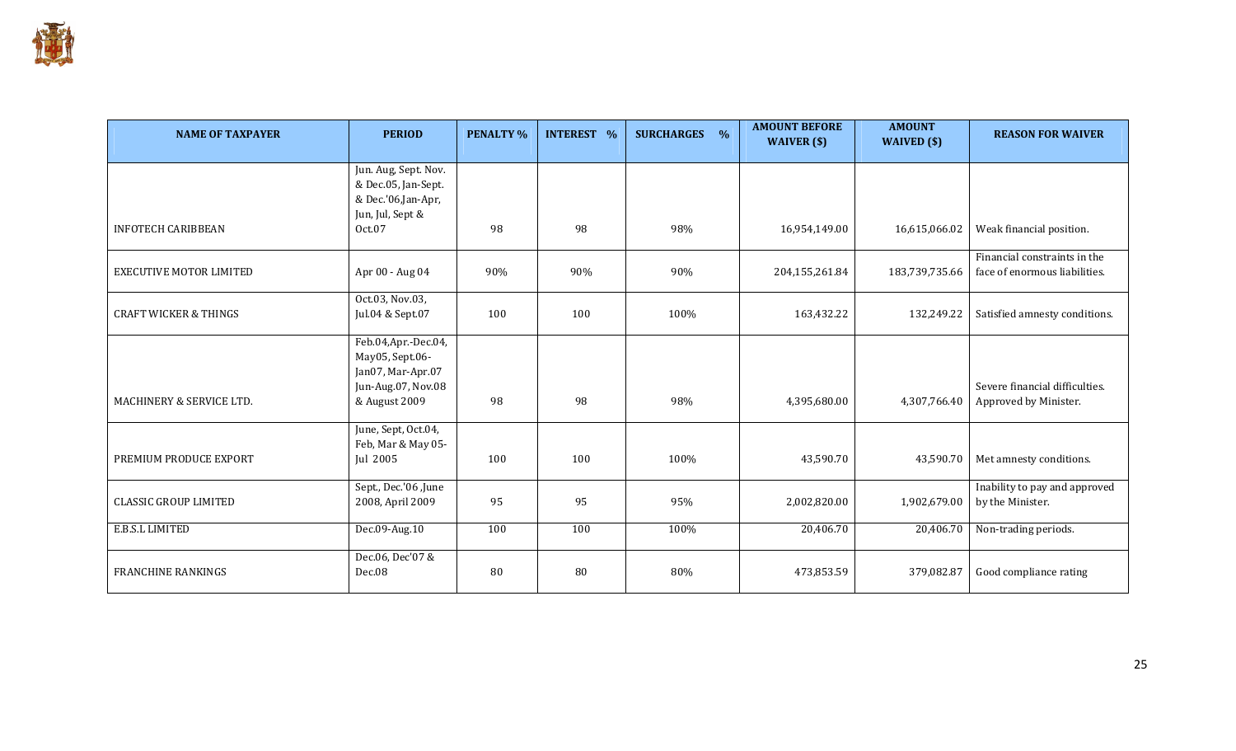

| <b>NAME OF TAXPAYER</b>             | <b>PERIOD</b>                                                                      | <b>PENALTY %</b> | <b>INTEREST %</b> | <b>SURCHARGES</b><br>$\frac{0}{0}$ | <b>AMOUNT BEFORE</b><br>WAIVER $(s)$ | <b>AMOUNT</b><br>WAIVED (\$) | <b>REASON FOR WAIVER</b>                                      |
|-------------------------------------|------------------------------------------------------------------------------------|------------------|-------------------|------------------------------------|--------------------------------------|------------------------------|---------------------------------------------------------------|
|                                     | Jun. Aug, Sept. Nov.<br>& Dec.05, Jan-Sept.<br>& Dec.'06,Jan-Apr,                  |                  |                   |                                    |                                      |                              |                                                               |
| <b>INFOTECH CARIBBEAN</b>           | Jun, Jul, Sept &<br>Oct.07                                                         | 98               | 98                | 98%                                | 16,954,149.00                        | 16,615,066.02                | Weak financial position.                                      |
| <b>EXECUTIVE MOTOR LIMITED</b>      | Apr 00 - Aug 04                                                                    | 90%              | 90%               | 90%                                | 204,155,261.84                       | 183,739,735.66               | Financial constraints in the<br>face of enormous liabilities. |
| <b>CRAFT WICKER &amp; THINGS</b>    | Oct.03, Nov.03,<br>Jul.04 & Sept.07                                                | 100              | 100               | 100%                               | 163,432.22                           | 132,249.22                   | Satisfied amnesty conditions.                                 |
|                                     | Feb.04, Apr.-Dec.04,<br>May05, Sept.06-<br>Jan07, Mar-Apr.07<br>Jun-Aug.07, Nov.08 |                  |                   |                                    |                                      |                              | Severe financial difficulties.                                |
| <b>MACHINERY &amp; SERVICE LTD.</b> | & August 2009                                                                      | 98               | 98                | 98%                                | 4,395,680.00                         | 4,307,766.40                 | Approved by Minister.                                         |
| PREMIUM PRODUCE EXPORT              | June, Sept, Oct.04,<br>Feb, Mar & May 05-<br>Jul 2005                              | 100              | 100               | 100%                               | 43,590.70                            | 43,590.70                    | Met amnesty conditions.                                       |
| <b>CLASSIC GROUP LIMITED</b>        | Sept., Dec.'06 ,June<br>2008, April 2009                                           | 95               | 95                | 95%                                | 2,002,820.00                         | 1,902,679.00                 | Inability to pay and approved<br>by the Minister.             |
| E.B.S.L LIMITED                     | Dec.09-Aug.10                                                                      | 100              | 100               | 100%                               | 20,406.70                            | 20,406.70                    | Non-trading periods.                                          |
| <b>FRANCHINE RANKINGS</b>           | Dec.06, Dec'07 &<br>Dec.08                                                         | 80               | 80                | 80%                                | 473,853.59                           | 379,082.87                   | Good compliance rating                                        |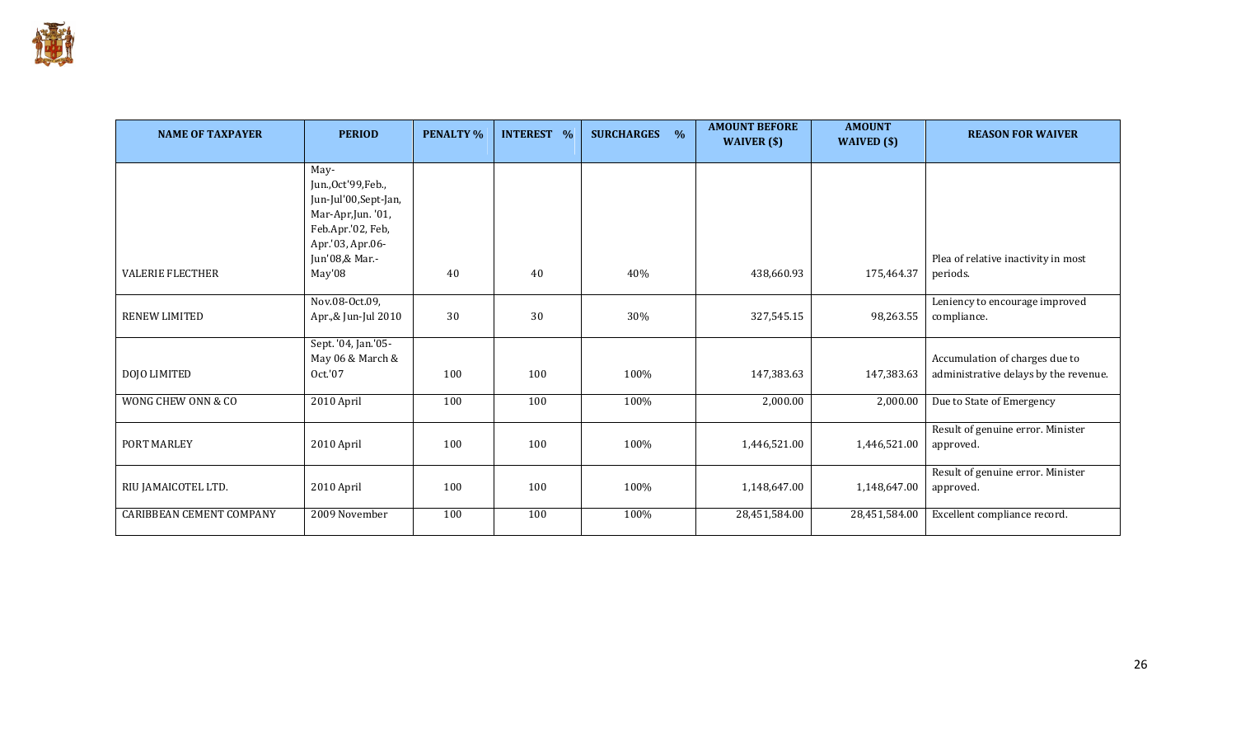

| <b>NAME OF TAXPAYER</b>         | <b>PERIOD</b>                                                                                                      | <b>PENALTY %</b> | <b>INTEREST %</b> | <b>SURCHARGES</b><br>$\frac{0}{6}$ | <b>AMOUNT BEFORE</b><br>WAIVER (\$) | <b>AMOUNT</b><br>WAIVED $(\$)$ | <b>REASON FOR WAIVER</b>                                                |
|---------------------------------|--------------------------------------------------------------------------------------------------------------------|------------------|-------------------|------------------------------------|-------------------------------------|--------------------------------|-------------------------------------------------------------------------|
|                                 | May-<br>Jun., Oct'99, Feb.,<br>Jun-Jul'00, Sept-Jan,<br>Mar-Apr,Jun. '01,<br>Feb.Apr.'02, Feb,<br>Apr.'03, Apr.06- |                  |                   |                                    |                                     |                                |                                                                         |
| <b>VALERIE FLECTHER</b>         | Jun'08,& Mar.-<br>May'08                                                                                           | 40               | 40                | 40%                                | 438,660.93                          | 175,464.37                     | Plea of relative inactivity in most<br>periods.                         |
| <b>RENEW LIMITED</b>            | Nov.08-Oct.09,<br>Apr.,& Jun-Jul 2010                                                                              | 30               | 30                | 30%                                | 327,545.15                          | 98,263.55                      | Leniency to encourage improved<br>compliance.                           |
| DOJO LIMITED                    | Sept. '04, Jan.'05-<br>May 06 & March &<br>Oct.'07                                                                 | 100              | 100               | 100%                               | 147,383.63                          | 147,383.63                     | Accumulation of charges due to<br>administrative delays by the revenue. |
| WONG CHEW ONN & CO              | 2010 April                                                                                                         | 100              | 100               | 100%                               | 2,000.00                            | 2,000.00                       | Due to State of Emergency                                               |
| PORT MARLEY                     | 2010 April                                                                                                         | 100              | 100               | 100%                               | 1,446,521.00                        | 1,446,521.00                   | Result of genuine error. Minister<br>approved.                          |
| RIU JAMAICOTEL LTD.             | 2010 April                                                                                                         | 100              | 100               | 100%                               | 1,148,647.00                        | 1,148,647.00                   | Result of genuine error. Minister<br>approved.                          |
| <b>CARIBBEAN CEMENT COMPANY</b> | 2009 November                                                                                                      | 100              | 100               | 100%                               | 28,451,584.00                       | 28,451,584.00                  | Excellent compliance record.                                            |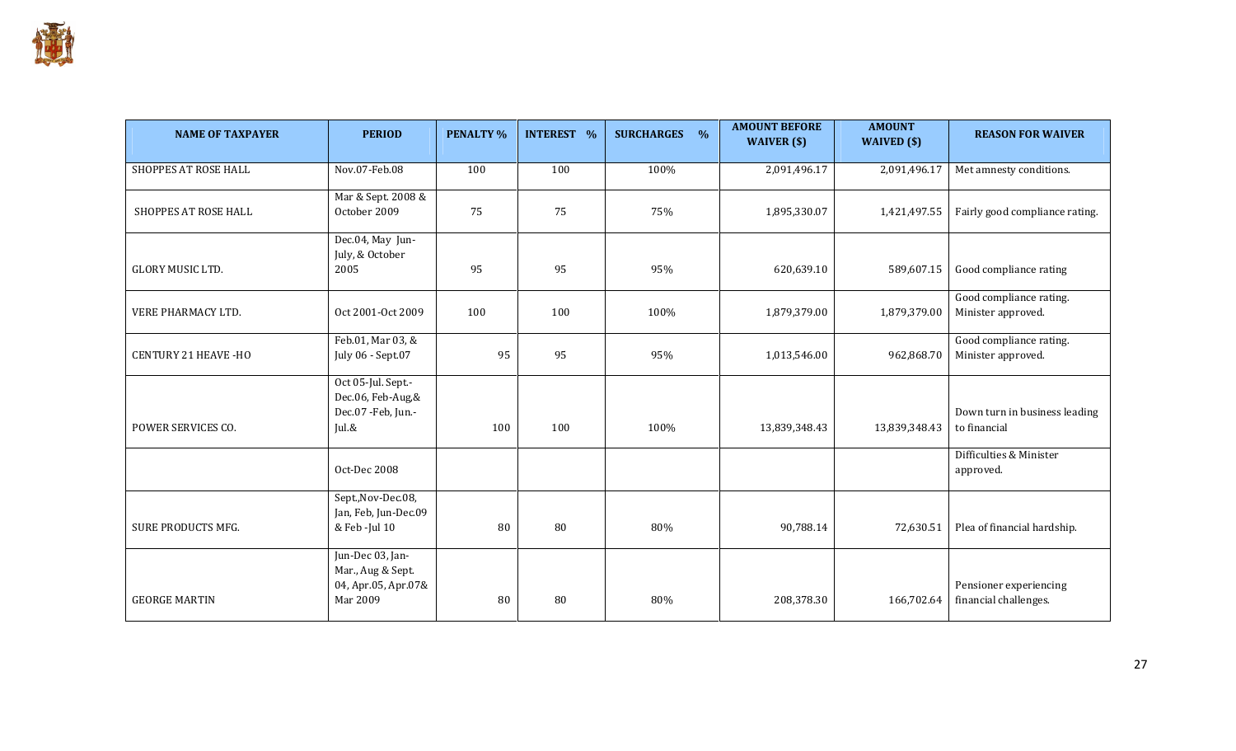

| <b>NAME OF TAXPAYER</b>     | <b>PERIOD</b>                                                            | <b>PENALTY %</b> | <b>INTEREST %</b> | <b>SURCHARGES</b><br>$\frac{0}{0}$ | <b>AMOUNT BEFORE</b><br>WAIVER (\$) | <b>AMOUNT</b><br>WAIVED $(\$)$ | <b>REASON FOR WAIVER</b>                        |
|-----------------------------|--------------------------------------------------------------------------|------------------|-------------------|------------------------------------|-------------------------------------|--------------------------------|-------------------------------------------------|
| SHOPPES AT ROSE HALL        | Nov.07-Feb.08                                                            | 100              | 100               | 100%                               | 2,091,496.17                        | 2,091,496.17                   | Met amnesty conditions.                         |
| SHOPPES AT ROSE HALL        | Mar & Sept. 2008 &<br>October 2009                                       | 75               | 75                | 75%                                | 1,895,330.07                        | 1,421,497.55                   | Fairly good compliance rating.                  |
| <b>GLORY MUSIC LTD.</b>     | Dec.04, May Jun-<br>July, & October<br>2005                              | 95               | 95                | 95%                                | 620,639.10                          | 589,607.15                     | Good compliance rating                          |
| VERE PHARMACY LTD.          | Oct 2001-Oct 2009                                                        | 100              | 100               | 100%                               | 1,879,379.00                        | 1,879,379.00                   | Good compliance rating.<br>Minister approved.   |
| <b>CENTURY 21 HEAVE -HO</b> | Feb.01, Mar 03, &<br>July 06 - Sept.07                                   | 95               | 95                | 95%                                | 1,013,546.00                        | 962,868.70                     | Good compliance rating.<br>Minister approved.   |
| POWER SERVICES CO.          | Oct 05-Jul. Sept.-<br>Dec.06, Feb-Aug,&<br>Dec.07 -Feb, Jun.-<br>Jul.&   | 100              | 100               | 100%                               | 13,839,348.43                       | 13,839,348.43                  | Down turn in business leading<br>to financial   |
|                             | Oct-Dec 2008                                                             |                  |                   |                                    |                                     |                                | Difficulties & Minister<br>approved.            |
| SURE PRODUCTS MFG.          | Sept., Nov-Dec.08,<br>Jan, Feb, Jun-Dec.09<br>& Feb -Jul 10              | 80               | 80                | 80%                                | 90,788.14                           | 72,630.51                      | Plea of financial hardship.                     |
| <b>GEORGE MARTIN</b>        | Jun-Dec 03, Jan-<br>Mar., Aug & Sept.<br>04, Apr.05, Apr.07&<br>Mar 2009 | 80               | 80                | 80%                                | 208,378.30                          | 166,702.64                     | Pensioner experiencing<br>financial challenges. |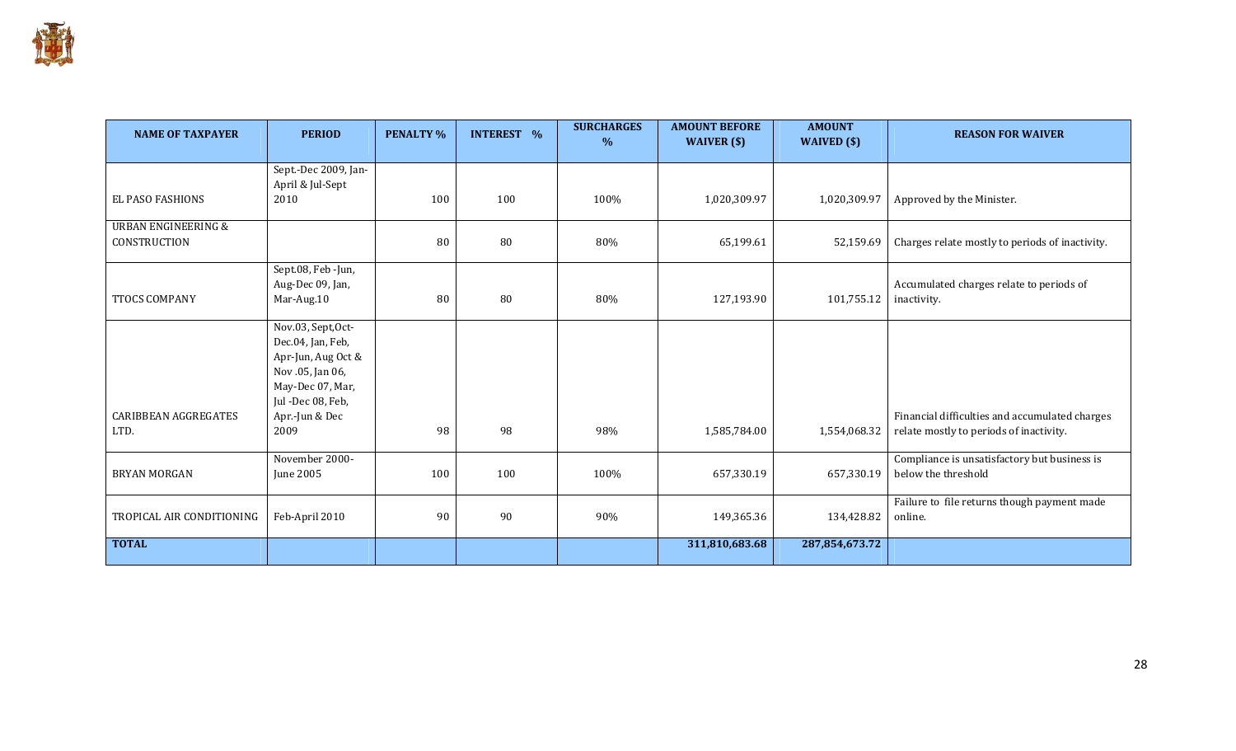

| <b>NAME OF TAXPAYER</b>                        | <b>PERIOD</b>                                                                                                              | <b>PENALTY %</b> | <b>INTEREST %</b> | <b>SURCHARGES</b><br>$\%$ | <b>AMOUNT BEFORE</b><br>WAIVER (\$) | <b>AMOUNT</b><br>WAIVED (\$) | <b>REASON FOR WAIVER</b>                                                                  |
|------------------------------------------------|----------------------------------------------------------------------------------------------------------------------------|------------------|-------------------|---------------------------|-------------------------------------|------------------------------|-------------------------------------------------------------------------------------------|
| EL PASO FASHIONS                               | Sept.-Dec 2009, Jan-<br>April & Jul-Sept<br>2010                                                                           | 100              | 100               | 100%                      | 1,020,309.97                        | 1,020,309.97                 | Approved by the Minister.                                                                 |
| <b>URBAN ENGINEERING &amp;</b><br>CONSTRUCTION |                                                                                                                            | 80               | 80                | 80%                       | 65,199.61                           | 52,159.69                    | Charges relate mostly to periods of inactivity.                                           |
| TTOCS COMPANY                                  | Sept.08, Feb -Jun,<br>Aug-Dec 09, Jan,<br>Mar-Aug.10                                                                       | 80               | 80                | 80%                       | 127,193.90                          | 101,755.12                   | Accumulated charges relate to periods of<br>inactivity.                                   |
|                                                | Nov.03, Sept, Oct-<br>Dec.04, Jan, Feb,<br>Apr-Jun, Aug Oct &<br>Nov .05, Jan 06,<br>May-Dec 07, Mar,<br>Jul -Dec 08, Feb, |                  |                   |                           |                                     |                              |                                                                                           |
| CARIBBEAN AGGREGATES<br>LTD.                   | Apr.-Jun & Dec<br>2009                                                                                                     | 98               | 98                | 98%                       | 1,585,784.00                        | 1,554,068.32                 | Financial difficulties and accumulated charges<br>relate mostly to periods of inactivity. |
| <b>BRYAN MORGAN</b>                            | November 2000-<br>June 2005                                                                                                | 100              | 100               | 100%                      | 657,330.19                          | 657,330.19                   | Compliance is unsatisfactory but business is<br>below the threshold                       |
| TROPICAL AIR CONDITIONING                      | Feb-April 2010                                                                                                             | 90               | 90                | 90%                       | 149,365.36                          | 134,428.82                   | Failure to file returns though payment made<br>online.                                    |
| <b>TOTAL</b>                                   |                                                                                                                            |                  |                   |                           | 311,810,683.68                      | 287,854,673.72               |                                                                                           |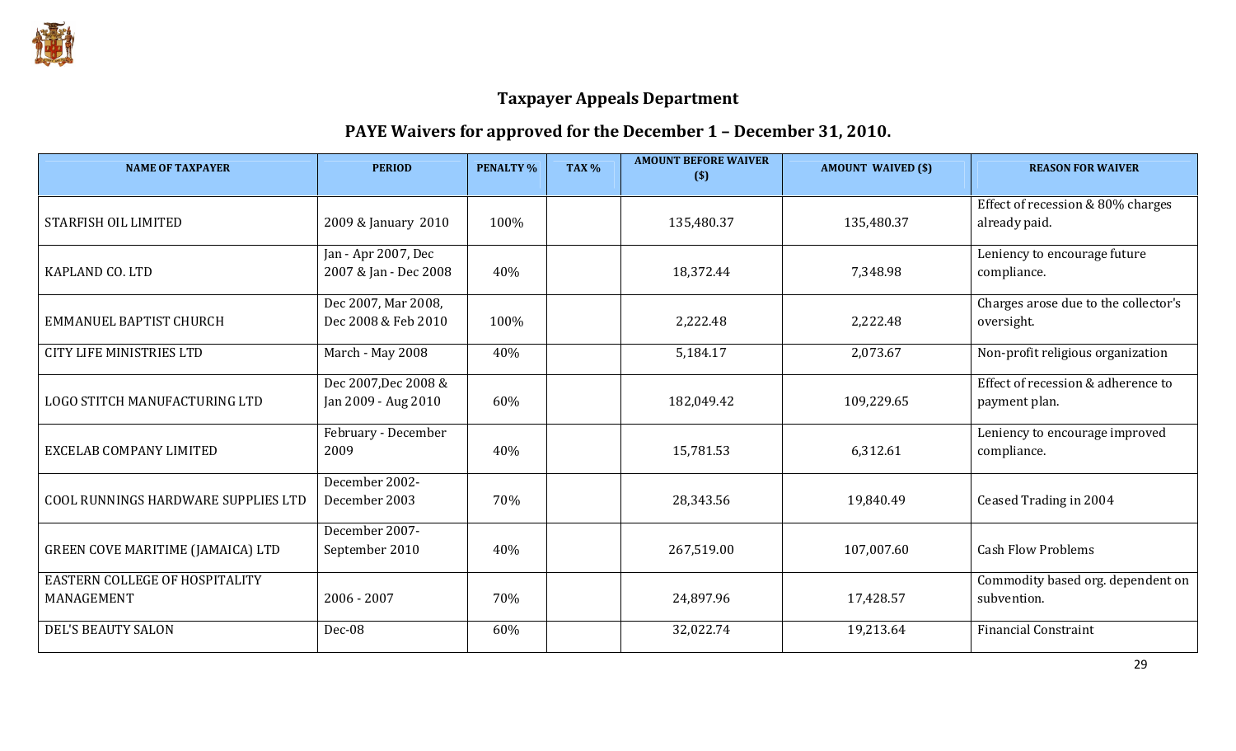

# PAYE Waivers for approved for the December 1 – December 31, 2010.

| <b>NAME OF TAXPAYER</b>                      | <b>PERIOD</b>                                | <b>PENALTY %</b> | <b>TAX %</b> | <b>AMOUNT BEFORE WAIVER</b><br>$($)$ | <b>AMOUNT WAIVED (\$)</b> | <b>REASON FOR WAIVER</b>                            |
|----------------------------------------------|----------------------------------------------|------------------|--------------|--------------------------------------|---------------------------|-----------------------------------------------------|
| <b>STARFISH OIL LIMITED</b>                  | 2009 & January 2010                          | 100%             |              | 135,480.37                           | 135,480.37                | Effect of recession & 80% charges<br>already paid.  |
| KAPLAND CO. LTD                              | Jan - Apr 2007, Dec<br>2007 & Jan - Dec 2008 | 40%              |              | 18,372.44                            | 7,348.98                  | Leniency to encourage future<br>compliance.         |
| EMMANUEL BAPTIST CHURCH                      | Dec 2007, Mar 2008,<br>Dec 2008 & Feb 2010   | 100%             |              | 2,222.48                             | 2,222.48                  | Charges arose due to the collector's<br>oversight.  |
| <b>CITY LIFE MINISTRIES LTD</b>              | March - May 2008                             | 40%              |              | 5,184.17                             | 2,073.67                  | Non-profit religious organization                   |
| LOGO STITCH MANUFACTURING LTD                | Dec 2007, Dec 2008 &<br>Jan 2009 - Aug 2010  | 60%              |              | 182,049.42                           | 109,229.65                | Effect of recession & adherence to<br>payment plan. |
| EXCELAB COMPANY LIMITED                      | February - December<br>2009                  | 40%              |              | 15,781.53                            | 6,312.61                  | Leniency to encourage improved<br>compliance.       |
| COOL RUNNINGS HARDWARE SUPPLIES LTD          | December 2002-<br>December 2003              | 70%              |              | 28,343.56                            | 19,840.49                 | Ceased Trading in 2004                              |
| GREEN COVE MARITIME (JAMAICA) LTD            | December 2007-<br>September 2010             | 40%              |              | 267,519.00                           | 107,007.60                | <b>Cash Flow Problems</b>                           |
| EASTERN COLLEGE OF HOSPITALITY<br>MANAGEMENT | $2006 - 2007$                                | 70%              |              | 24,897.96                            | 17,428.57                 | Commodity based org. dependent on<br>subvention.    |
| <b>DEL'S BEAUTY SALON</b>                    | Dec-08                                       | 60%              |              | 32,022.74                            | 19,213.64                 | <b>Financial Constraint</b>                         |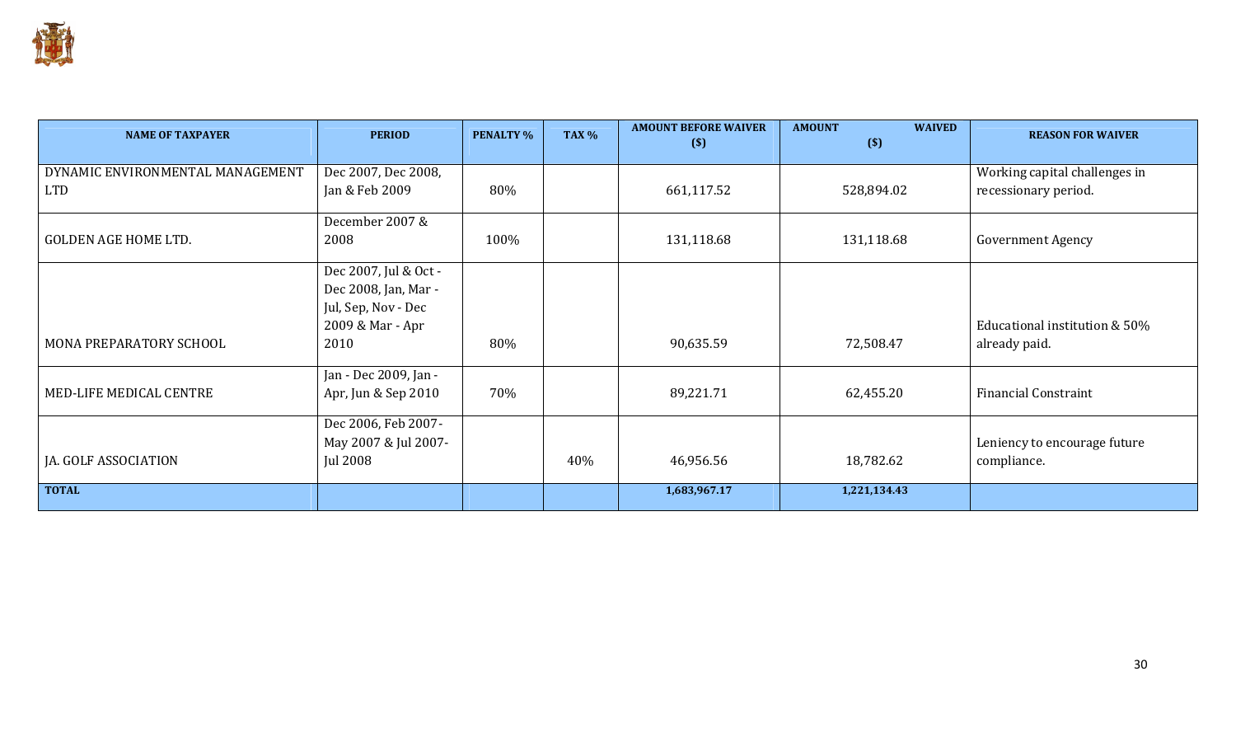

| <b>NAME OF TAXPAYER</b>          | <b>PERIOD</b>         | <b>PENALTY %</b> | <b>TAX %</b> | <b>AMOUNT BEFORE WAIVER</b><br>$(\$)$ | <b>AMOUNT</b><br><b>WAIVED</b><br>$($)$ | <b>REASON FOR WAIVER</b>      |
|----------------------------------|-----------------------|------------------|--------------|---------------------------------------|-----------------------------------------|-------------------------------|
| DYNAMIC ENVIRONMENTAL MANAGEMENT | Dec 2007, Dec 2008,   |                  |              |                                       |                                         | Working capital challenges in |
| <b>LTD</b>                       | Jan & Feb 2009        | 80%              |              | 661,117.52                            | 528,894.02                              | recessionary period.          |
|                                  | December 2007 &       |                  |              |                                       |                                         |                               |
| <b>GOLDEN AGE HOME LTD.</b>      | 2008                  | 100%             |              | 131,118.68                            | 131,118.68                              | <b>Government Agency</b>      |
|                                  | Dec 2007, Jul & Oct - |                  |              |                                       |                                         |                               |
|                                  | Dec 2008, Jan, Mar -  |                  |              |                                       |                                         |                               |
|                                  | Jul, Sep, Nov - Dec   |                  |              |                                       |                                         |                               |
|                                  | 2009 & Mar - Apr      |                  |              |                                       |                                         | Educational institution & 50% |
| MONA PREPARATORY SCHOOL          | 2010                  | 80%              |              | 90,635.59                             | 72,508.47                               | already paid.                 |
|                                  | Jan - Dec 2009, Jan - |                  |              |                                       |                                         |                               |
| MED-LIFE MEDICAL CENTRE          | Apr, Jun & Sep 2010   | 70%              |              | 89,221.71                             | 62,455.20                               | <b>Financial Constraint</b>   |
|                                  | Dec 2006, Feb 2007-   |                  |              |                                       |                                         |                               |
|                                  | May 2007 & Jul 2007-  |                  |              |                                       |                                         | Leniency to encourage future  |
| JA. GOLF ASSOCIATION             | <b>Jul 2008</b>       |                  | 40%          | 46,956.56                             | 18,782.62                               | compliance.                   |
| <b>TOTAL</b>                     |                       |                  |              | 1,683,967.17                          | 1,221,134.43                            |                               |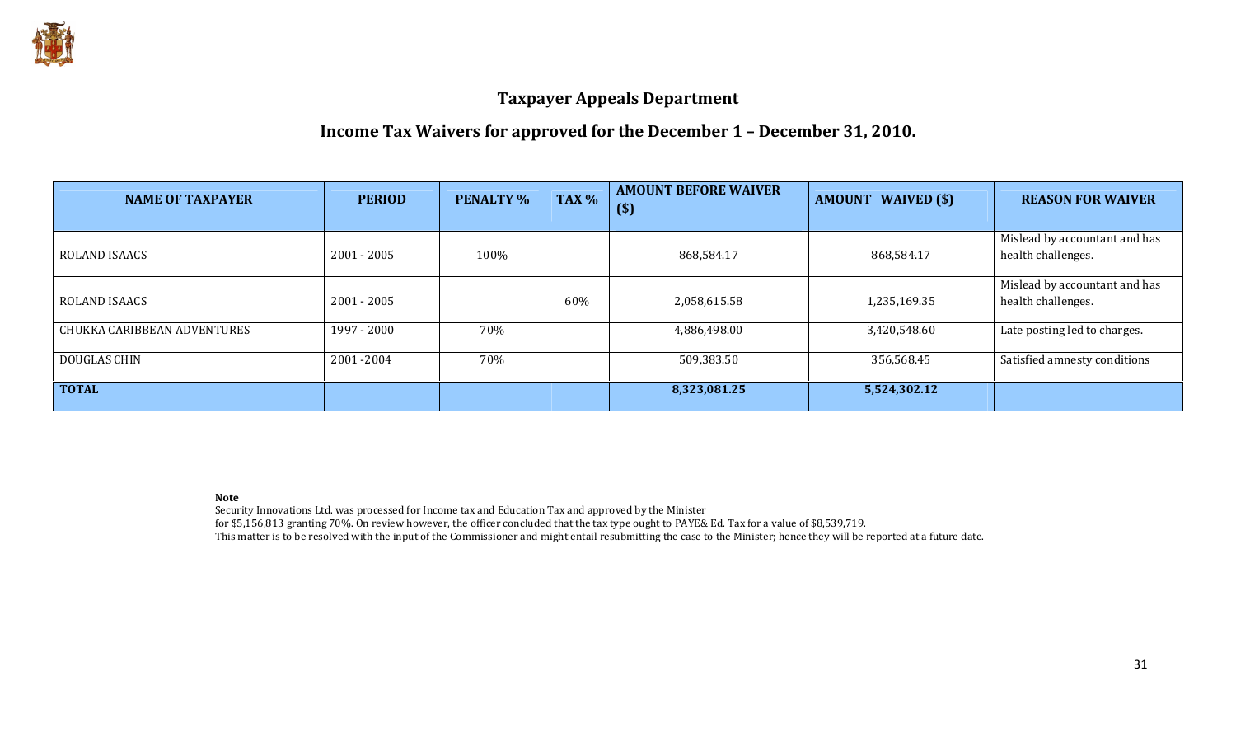

# Income Tax Waivers for approved for the December 1 – December 31, 2010.

| <b>NAME OF TAXPAYER</b>     | <b>PERIOD</b> | <b>PENALTY %</b> | TAX % | <b>AMOUNT BEFORE WAIVER</b><br>$($)$ | <b>AMOUNT WAIVED (\$)</b> | <b>REASON FOR WAIVER</b>                            |
|-----------------------------|---------------|------------------|-------|--------------------------------------|---------------------------|-----------------------------------------------------|
| <b>ROLAND ISAACS</b>        | $2001 - 2005$ | 100%             |       | 868,584.17                           | 868,584.17                | Mislead by accountant and has<br>health challenges. |
| ROLAND ISAACS               | $2001 - 2005$ |                  | 60%   | 2,058,615.58                         | 1,235,169.35              | Mislead by accountant and has<br>health challenges. |
| CHUKKA CARIBBEAN ADVENTURES | 1997 - 2000   | 70%              |       | 4,886,498.00                         | 3,420,548.60              | Late posting led to charges.                        |
| DOUGLAS CHIN                | 2001-2004     | 70%              |       | 509,383.50                           | 356,568.45                | Satisfied amnesty conditions                        |
| <b>TOTAL</b>                |               |                  |       | 8,323,081.25                         | 5,524,302.12              |                                                     |

Note

Security Innovations Ltd. was processed for Income tax and Education Tax and approved by the Minister

for \$5,156,813 granting 70%. On review however, the officer concluded that the tax type ought to PAYE& Ed. Tax for a value of \$8,539,719.

This matter is to be resolved with the input of the Commissioner and might entail resubmitting the case to the Minister; hence they will be reported at a future date.